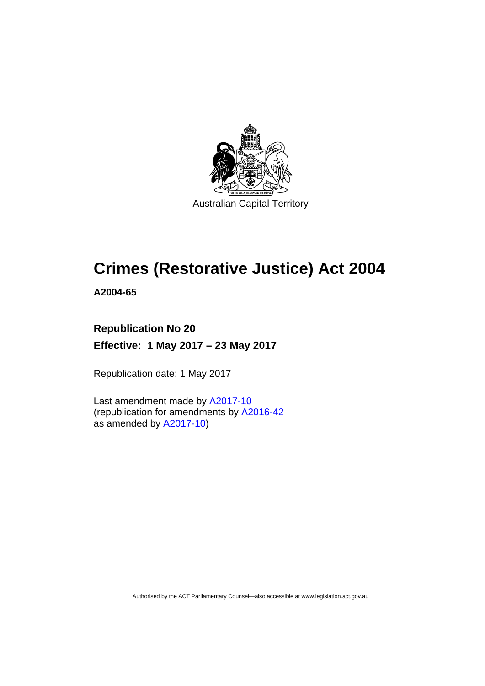

# **Crimes (Restorative Justice) Act 2004**

**A2004-65** 

## **Republication No 20 Effective: 1 May 2017 – 23 May 2017**

Republication date: 1 May 2017

Last amendment made by [A2017-10](http://www.legislation.act.gov.au/a/2017-10/default.asp) (republication for amendments by [A2016-42](http://www.legislation.act.gov.au/a/2016-42/default.asp) as amended by [A2017-10](http://www.legislation.act.gov.au/a/2017-10/default.asp))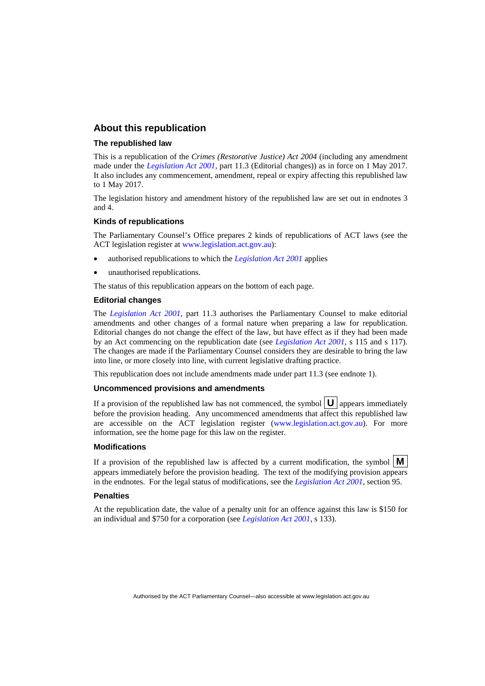### **About this republication**

#### **The republished law**

This is a republication of the *Crimes (Restorative Justice) Act 2004* (including any amendment made under the *[Legislation Act 2001](http://www.legislation.act.gov.au/a/2001-14)*, part 11.3 (Editorial changes)) as in force on 1 May 2017*.*  It also includes any commencement, amendment, repeal or expiry affecting this republished law to 1 May 2017.

The legislation history and amendment history of the republished law are set out in endnotes 3 and 4.

#### **Kinds of republications**

The Parliamentary Counsel's Office prepares 2 kinds of republications of ACT laws (see the ACT legislation register at [www.legislation.act.gov.au](http://www.legislation.act.gov.au/)):

- authorised republications to which the *[Legislation Act 2001](http://www.legislation.act.gov.au/a/2001-14)* applies
- unauthorised republications.

The status of this republication appears on the bottom of each page.

#### **Editorial changes**

The *[Legislation Act 2001](http://www.legislation.act.gov.au/a/2001-14)*, part 11.3 authorises the Parliamentary Counsel to make editorial amendments and other changes of a formal nature when preparing a law for republication. Editorial changes do not change the effect of the law, but have effect as if they had been made by an Act commencing on the republication date (see *[Legislation Act 2001](http://www.legislation.act.gov.au/a/2001-14)*, s 115 and s 117). The changes are made if the Parliamentary Counsel considers they are desirable to bring the law into line, or more closely into line, with current legislative drafting practice.

This republication does not include amendments made under part 11.3 (see endnote 1).

#### **Uncommenced provisions and amendments**

If a provision of the republished law has not commenced, the symbol  $\mathbf{U}$  appears immediately before the provision heading. Any uncommenced amendments that affect this republished law are accessible on the ACT legislation register [\(www.legislation.act.gov.au\)](http://www.legislation.act.gov.au/). For more information, see the home page for this law on the register.

#### **Modifications**

If a provision of the republished law is affected by a current modification, the symbol  $\mathbf{M}$ appears immediately before the provision heading. The text of the modifying provision appears in the endnotes. For the legal status of modifications, see the *[Legislation Act 2001](http://www.legislation.act.gov.au/a/2001-14)*, section 95.

#### **Penalties**

At the republication date, the value of a penalty unit for an offence against this law is \$150 for an individual and \$750 for a corporation (see *[Legislation Act 2001](http://www.legislation.act.gov.au/a/2001-14)*, s 133).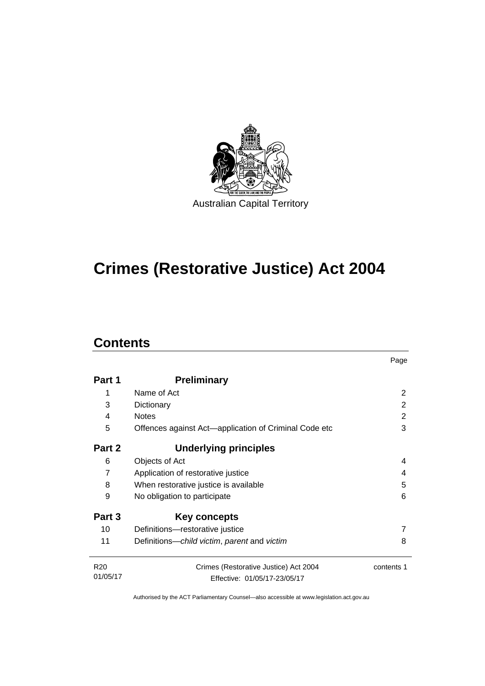

# **Crimes (Restorative Justice) Act 2004**

## **Contents**

|                             |                                                       | Page       |  |
|-----------------------------|-------------------------------------------------------|------------|--|
| Part 1                      | <b>Preliminary</b>                                    |            |  |
| 1                           | Name of Act                                           | 2          |  |
| 3                           | Dictionary                                            | 2          |  |
| 4                           | <b>Notes</b>                                          | 2          |  |
| 5                           | Offences against Act-application of Criminal Code etc | 3          |  |
| Part 2                      | <b>Underlying principles</b>                          |            |  |
| 6                           | Objects of Act                                        | 4          |  |
| 7                           | Application of restorative justice                    | 4          |  |
| 8                           | When restorative justice is available                 | 5          |  |
| 9                           | No obligation to participate                          |            |  |
| Part 3                      | <b>Key concepts</b>                                   |            |  |
| 10                          | Definitions-restorative justice                       |            |  |
| 11                          | Definitions-child victim, parent and victim           | 8          |  |
| R <sub>20</sub><br>01/05/17 | Crimes (Restorative Justice) Act 2004                 | contents 1 |  |
|                             | Effective: 01/05/17-23/05/17                          |            |  |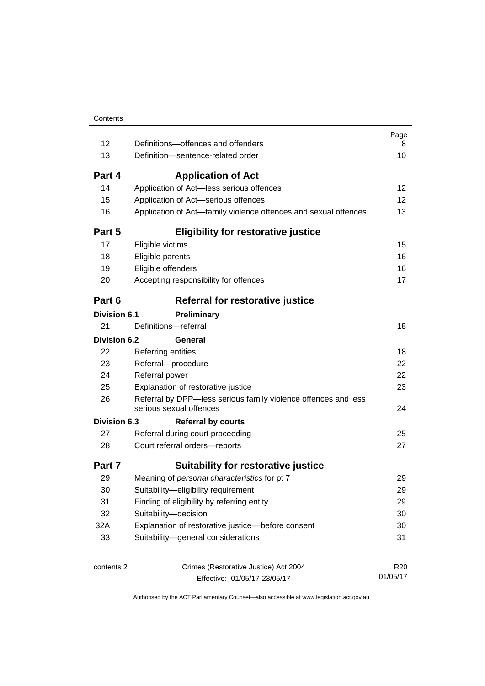| 12                  | Definitions-offences and offenders                                                        | Page<br>8       |
|---------------------|-------------------------------------------------------------------------------------------|-----------------|
| 13                  | Definition-sentence-related order                                                         | 10              |
| Part 4              | <b>Application of Act</b>                                                                 |                 |
| 14                  | Application of Act-less serious offences                                                  | 12              |
| 15                  | Application of Act-serious offences                                                       | 12              |
| 16                  | Application of Act-family violence offences and sexual offences                           | 13              |
| Part 5              | <b>Eligibility for restorative justice</b>                                                |                 |
| 17                  | Eligible victims                                                                          | 15              |
| 18                  | Eligible parents                                                                          | 16              |
| 19                  | Eligible offenders                                                                        | 16              |
| 20                  | Accepting responsibility for offences                                                     | 17              |
| Part 6              | Referral for restorative justice                                                          |                 |
| <b>Division 6.1</b> | Preliminary                                                                               |                 |
| 21                  | Definitions-referral                                                                      | 18              |
| <b>Division 6.2</b> | General                                                                                   |                 |
| 22                  | Referring entities                                                                        | 18              |
| 23                  | Referral-procedure                                                                        | 22              |
| 24                  | Referral power                                                                            | 22              |
| 25                  | Explanation of restorative justice                                                        | 23              |
| 26                  | Referral by DPP-less serious family violence offences and less<br>serious sexual offences | 24              |
| <b>Division 6.3</b> | <b>Referral by courts</b>                                                                 |                 |
| 27                  | Referral during court proceeding                                                          | 25              |
| 28                  | Court referral orders-reports                                                             | 27              |
| Part 7              | <b>Suitability for restorative justice</b>                                                |                 |
| 29                  | Meaning of personal characteristics for pt 7                                              | 29              |
| 30                  | Suitability-eligibility requirement                                                       | 29              |
| 31                  | Finding of eligibility by referring entity                                                | 29              |
| 32                  | Suitability-decision                                                                      | 30              |
| 32A                 | Explanation of restorative justice-before consent                                         | 30              |
| 33                  | Suitability-general considerations                                                        | 31              |
| contents 2          | Crimes (Restorative Justice) Act 2004                                                     | R <sub>20</sub> |
|                     | Effective: 01/05/17-23/05/17                                                              | 01/05/17        |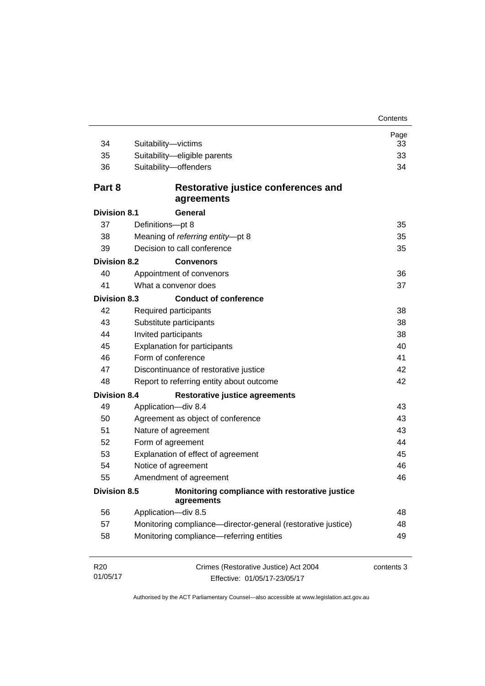| 34                          | Suitability-victims                                                   | Page<br>33 |  |
|-----------------------------|-----------------------------------------------------------------------|------------|--|
| 35                          | Suitability-eligible parents                                          | 33         |  |
| 36                          | Suitability-offenders                                                 | 34         |  |
| Part 8                      | Restorative justice conferences and<br>agreements                     |            |  |
| <b>Division 8.1</b>         | General                                                               |            |  |
| 37                          | Definitions-pt 8                                                      | 35         |  |
| 38                          | Meaning of referring entity-pt 8                                      | 35         |  |
| 39                          | Decision to call conference                                           | 35         |  |
| <b>Division 8.2</b>         | <b>Convenors</b>                                                      |            |  |
| 40                          | Appointment of convenors                                              | 36         |  |
| 41                          | What a convenor does                                                  | 37         |  |
| <b>Division 8.3</b>         | <b>Conduct of conference</b>                                          |            |  |
| 42                          | Required participants                                                 | 38         |  |
| 43                          | Substitute participants                                               | 38         |  |
| 44                          | Invited participants                                                  |            |  |
| 45                          | <b>Explanation for participants</b>                                   |            |  |
| 46                          | Form of conference                                                    |            |  |
| 47                          | Discontinuance of restorative justice                                 |            |  |
| 48                          | Report to referring entity about outcome                              | 42         |  |
| <b>Division 8.4</b>         | <b>Restorative justice agreements</b>                                 |            |  |
| 49                          | Application-div 8.4                                                   | 43         |  |
| 50                          | Agreement as object of conference                                     | 43         |  |
| 51                          | Nature of agreement                                                   | 43         |  |
| 52                          | Form of agreement                                                     | 44         |  |
| 53                          | Explanation of effect of agreement                                    | 45         |  |
| 54                          | Notice of agreement                                                   | 46         |  |
| 55                          | Amendment of agreement                                                | 46         |  |
| Division 8.5                | Monitoring compliance with restorative justice<br>agreements          |            |  |
| 56                          | Application-div 8.5                                                   | 48         |  |
| 57                          | Monitoring compliance-director-general (restorative justice)          | 48         |  |
| 58                          | Monitoring compliance-referring entities                              | 49         |  |
| R <sub>20</sub><br>01/05/17 | Crimes (Restorative Justice) Act 2004<br>Effective: 01/05/17-23/05/17 | contents 3 |  |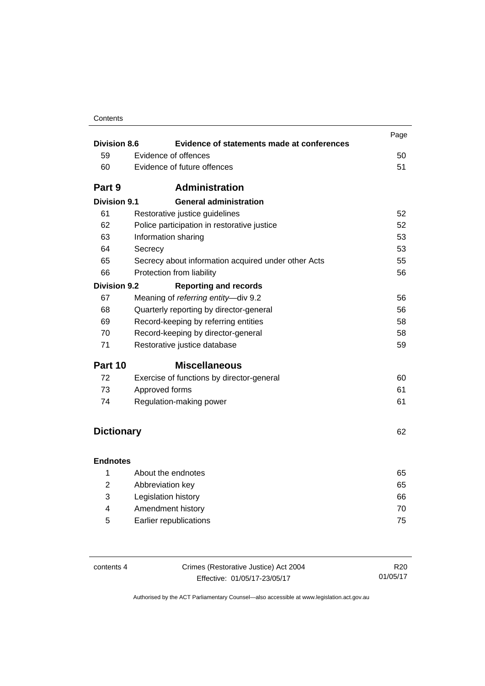| Contents |
|----------|
|----------|

| <b>Division 8.6</b> | Evidence of statements made at conferences          | Page |  |
|---------------------|-----------------------------------------------------|------|--|
| 59                  | Evidence of offences                                | 50   |  |
|                     | Evidence of future offences                         |      |  |
| 60                  |                                                     | 51   |  |
| Part 9              | <b>Administration</b>                               |      |  |
| <b>Division 9.1</b> | <b>General administration</b>                       |      |  |
| 61                  | Restorative justice guidelines                      | 52   |  |
| 62                  | Police participation in restorative justice         | 52   |  |
| 63                  | Information sharing                                 |      |  |
| 64                  | Secrecy                                             | 53   |  |
| 65                  | Secrecy about information acquired under other Acts | 55   |  |
| 66                  | Protection from liability                           | 56   |  |
| <b>Division 9.2</b> | <b>Reporting and records</b>                        |      |  |
| 67                  | Meaning of referring entity-div 9.2                 | 56   |  |
| 68                  | Quarterly reporting by director-general<br>56       |      |  |
| 69                  | Record-keeping by referring entities<br>58          |      |  |
| 70                  | 58<br>Record-keeping by director-general            |      |  |
| 71                  | Restorative justice database                        |      |  |
| Part 10             | <b>Miscellaneous</b>                                |      |  |
| 72                  | Exercise of functions by director-general           | 60   |  |
| 73                  | Approved forms                                      | 61   |  |
| 74                  | Regulation-making power                             | 61   |  |
|                     |                                                     |      |  |
| <b>Dictionary</b>   |                                                     | 62   |  |
|                     |                                                     |      |  |
| <b>Endnotes</b>     |                                                     |      |  |
| 1                   | About the endnotes                                  | 65   |  |
| $\overline{2}$      | Abbreviation key                                    | 65   |  |
| 3                   | Legislation history                                 | 66   |  |
| 4                   | Amendment history                                   | 70   |  |
| 5                   | Earlier republications<br>75                        |      |  |

| contents 4 | Crimes (Restorative Justice) Act 2004 |          |  |
|------------|---------------------------------------|----------|--|
|            | Effective: 01/05/17-23/05/17          | 01/05/17 |  |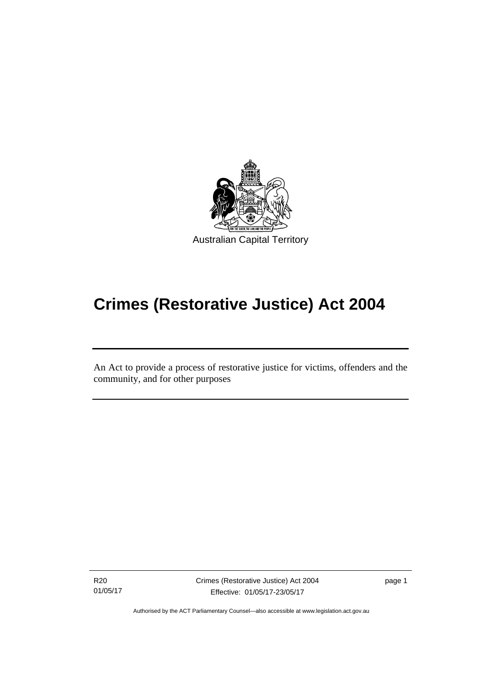

# **Crimes (Restorative Justice) Act 2004**

An Act to provide a process of restorative justice for victims, offenders and the community, and for other purposes

R20 01/05/17

l

Crimes (Restorative Justice) Act 2004 Effective: 01/05/17-23/05/17

page 1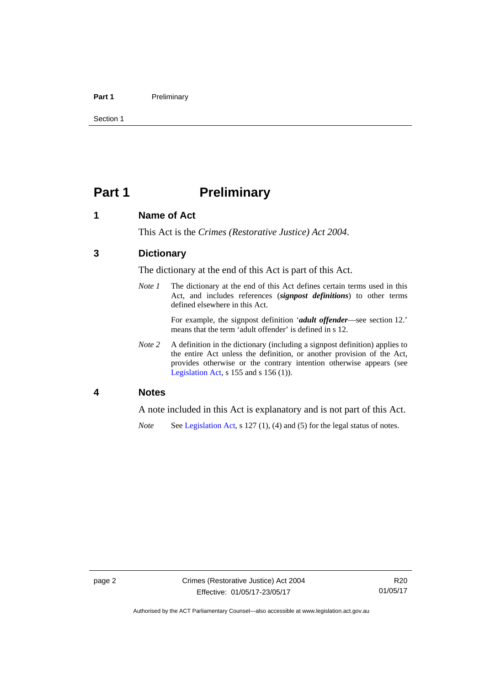#### Part 1 **Preliminary**

Section 1

## <span id="page-7-0"></span>**Part 1** Preliminary

## <span id="page-7-1"></span>**1 Name of Act**

This Act is the *Crimes (Restorative Justice) Act 2004*.

## <span id="page-7-2"></span>**3 Dictionary**

The dictionary at the end of this Act is part of this Act.

*Note 1* The dictionary at the end of this Act defines certain terms used in this Act, and includes references (*signpost definitions*) to other terms defined elsewhere in this Act.

> For example, the signpost definition '*adult offender*—see section 12.' means that the term 'adult offender' is defined in s 12.

*Note 2* A definition in the dictionary (including a signpost definition) applies to the entire Act unless the definition, or another provision of the Act, provides otherwise or the contrary intention otherwise appears (see [Legislation Act,](http://www.legislation.act.gov.au/a/2001-14) s  $155$  and s  $156$  (1)).

### <span id="page-7-3"></span>**4 Notes**

A note included in this Act is explanatory and is not part of this Act.

*Note* See [Legislation Act,](http://www.legislation.act.gov.au/a/2001-14) s 127 (1), (4) and (5) for the legal status of notes.

Authorised by the ACT Parliamentary Counsel—also accessible at www.legislation.act.gov.au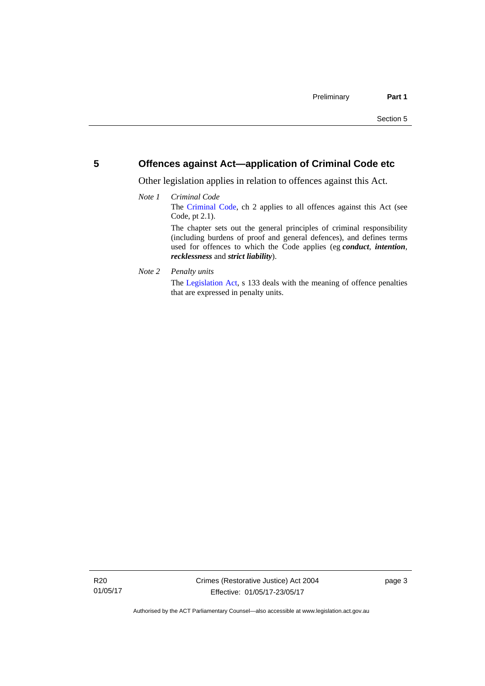## <span id="page-8-0"></span>**5 Offences against Act—application of Criminal Code etc**

Other legislation applies in relation to offences against this Act.

#### *Note 1 Criminal Code* The [Criminal Code](http://www.legislation.act.gov.au/a/2002-51), ch 2 applies to all offences against this Act (see Code, pt 2.1). The chapter sets out the general principles of criminal responsibility (including burdens of proof and general defences), and defines terms used for offences to which the Code applies (eg *conduct*, *intention*, *recklessness* and *strict liability*).

*Note 2 Penalty units* 

The [Legislation Act](http://www.legislation.act.gov.au/a/2001-14), s 133 deals with the meaning of offence penalties that are expressed in penalty units.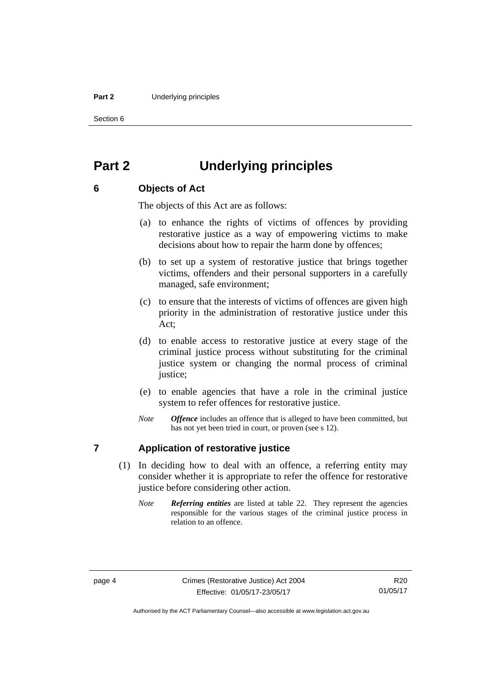#### **Part 2** Underlying principles

Section 6

## <span id="page-9-0"></span>**Part 2 Underlying principles**

## <span id="page-9-1"></span>**6 Objects of Act**

The objects of this Act are as follows:

- (a) to enhance the rights of victims of offences by providing restorative justice as a way of empowering victims to make decisions about how to repair the harm done by offences;
- (b) to set up a system of restorative justice that brings together victims, offenders and their personal supporters in a carefully managed, safe environment;
- (c) to ensure that the interests of victims of offences are given high priority in the administration of restorative justice under this Act;
- (d) to enable access to restorative justice at every stage of the criminal justice process without substituting for the criminal justice system or changing the normal process of criminal justice:
- (e) to enable agencies that have a role in the criminal justice system to refer offences for restorative justice.
- *Note Offence* includes an offence that is alleged to have been committed, but has not yet been tried in court, or proven (see s 12).

## <span id="page-9-2"></span>**7 Application of restorative justice**

- (1) In deciding how to deal with an offence, a referring entity may consider whether it is appropriate to refer the offence for restorative justice before considering other action.
	- *Note Referring entities* are listed at table 22. They represent the agencies responsible for the various stages of the criminal justice process in relation to an offence.

Authorised by the ACT Parliamentary Counsel—also accessible at www.legislation.act.gov.au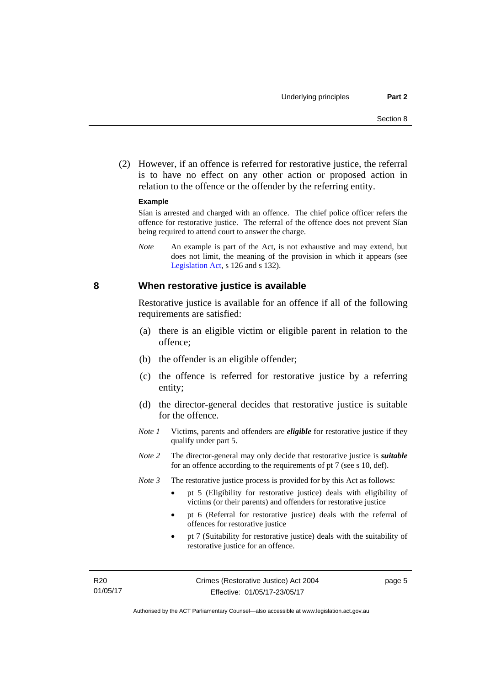(2) However, if an offence is referred for restorative justice, the referral is to have no effect on any other action or proposed action in relation to the offence or the offender by the referring entity.

#### **Example**

Sían is arrested and charged with an offence. The chief police officer refers the offence for restorative justice. The referral of the offence does not prevent Sían being required to attend court to answer the charge.

*Note* An example is part of the Act, is not exhaustive and may extend, but does not limit, the meaning of the provision in which it appears (see [Legislation Act,](http://www.legislation.act.gov.au/a/2001-14) s 126 and s 132).

#### <span id="page-10-0"></span>**8 When restorative justice is available**

Restorative justice is available for an offence if all of the following requirements are satisfied:

- (a) there is an eligible victim or eligible parent in relation to the offence;
- (b) the offender is an eligible offender;
- (c) the offence is referred for restorative justice by a referring entity;
- (d) the director-general decides that restorative justice is suitable for the offence.
- *Note 1* Victims, parents and offenders are *eligible* for restorative justice if they qualify under part 5.
- *Note 2* The director-general may only decide that restorative justice is *suitable*  for an offence according to the requirements of pt 7 (see s 10, def).
- *Note 3* The restorative justice process is provided for by this Act as follows:
	- pt 5 (Eligibility for restorative justice) deals with eligibility of victims (or their parents) and offenders for restorative justice
	- pt 6 (Referral for restorative justice) deals with the referral of offences for restorative justice
	- pt 7 (Suitability for restorative justice) deals with the suitability of restorative justice for an offence.

page 5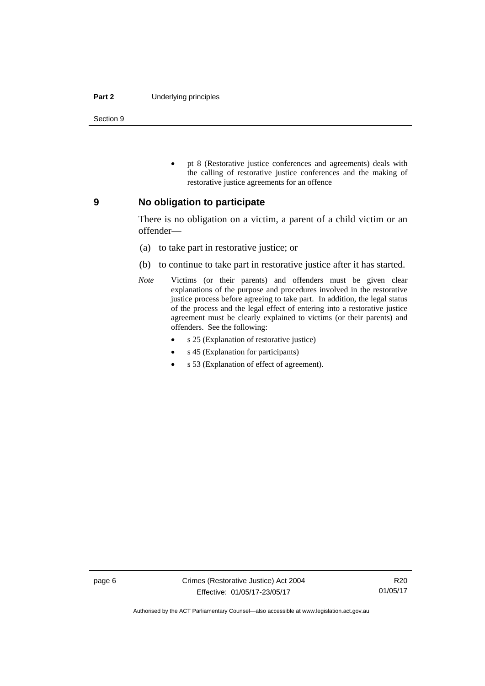#### **Part 2** Underlying principles

Section 9

 pt 8 (Restorative justice conferences and agreements) deals with the calling of restorative justice conferences and the making of restorative justice agreements for an offence

#### <span id="page-11-0"></span>**9 No obligation to participate**

There is no obligation on a victim, a parent of a child victim or an offender—

- (a) to take part in restorative justice; or
- (b) to continue to take part in restorative justice after it has started.
- *Note* Victims (or their parents) and offenders must be given clear explanations of the purpose and procedures involved in the restorative justice process before agreeing to take part. In addition, the legal status of the process and the legal effect of entering into a restorative justice agreement must be clearly explained to victims (or their parents) and offenders. See the following:
	- s 25 (Explanation of restorative justice)
	- s 45 (Explanation for participants)
	- s 53 (Explanation of effect of agreement).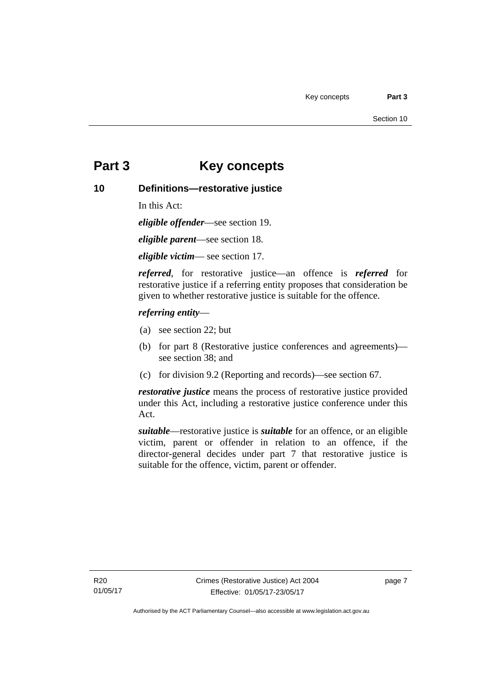## <span id="page-12-0"></span>**Part 3 Key concepts**

## <span id="page-12-1"></span>**10 Definitions—restorative justice**

In this Act:

*eligible offender*—see section 19.

*eligible parent*—see section 18.

*eligible victim*— see section 17.

*referred*, for restorative justice—an offence is *referred* for restorative justice if a referring entity proposes that consideration be given to whether restorative justice is suitable for the offence.

### *referring entity*—

- (a) see section 22; but
- (b) for part 8 (Restorative justice conferences and agreements) see section 38; and
- (c) for division 9.2 (Reporting and records)—see section 67.

*restorative justice* means the process of restorative justice provided under this Act, including a restorative justice conference under this Act.

*suitable*—restorative justice is *suitable* for an offence, or an eligible victim, parent or offender in relation to an offence, if the director-general decides under part 7 that restorative justice is suitable for the offence, victim, parent or offender.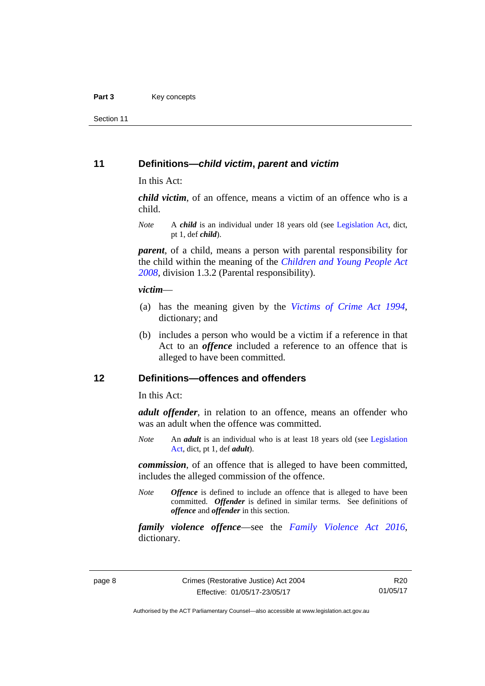Section 11

### <span id="page-13-0"></span>**11 Definitions—***child victim***,** *parent* **and** *victim*

In this Act:

*child victim*, of an offence, means a victim of an offence who is a child.

*Note* A *child* is an individual under 18 years old (see [Legislation Act,](http://www.legislation.act.gov.au/a/2001-14) dict, pt 1, def *child*).

*parent*, of a child, means a person with parental responsibility for the child within the meaning of the *[Children and Young People Act](http://www.legislation.act.gov.au/a/2008-19)  [2008](http://www.legislation.act.gov.au/a/2008-19)*, division 1.3.2 (Parental responsibility).

#### *victim*—

- (a) has the meaning given by the *[Victims of Crime Act 1994](http://www.legislation.act.gov.au/a/1994-83)*, dictionary; and
- (b) includes a person who would be a victim if a reference in that Act to an *offence* included a reference to an offence that is alleged to have been committed.

## <span id="page-13-1"></span>**12 Definitions—offences and offenders**

In this Act:

*adult offender*, in relation to an offence, means an offender who was an adult when the offence was committed.

*Note* An *adult* is an individual who is at least 18 years old (see [Legislation](http://www.legislation.act.gov.au/a/2001-14)  [Act](http://www.legislation.act.gov.au/a/2001-14), dict, pt 1, def *adult*).

*commission*, of an offence that is alleged to have been committed, includes the alleged commission of the offence.

*Note Offence* is defined to include an offence that is alleged to have been committed. *Offender* is defined in similar terms. See definitions of *offence* and *offender* in this section.

*family violence offence*—see the *[Family Violence Act 2016](http://www.legislation.act.gov.au/a/2016-42)*, dictionary*.*

Authorised by the ACT Parliamentary Counsel—also accessible at www.legislation.act.gov.au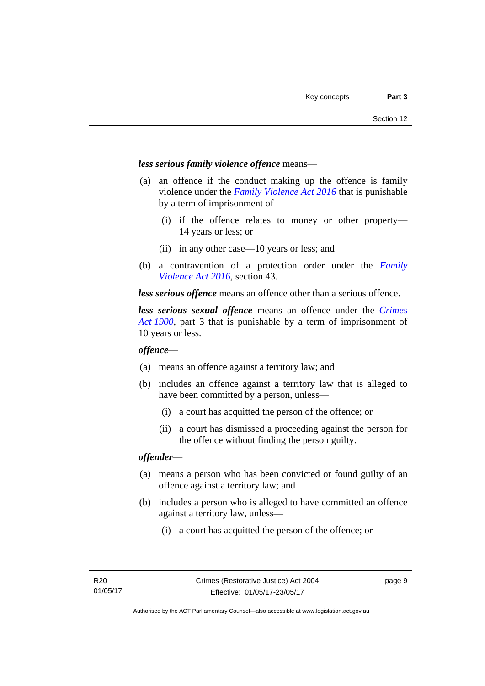### *less serious family violence offence* means—

- (a) an offence if the conduct making up the offence is family violence under the *[Family Violence Act 2016](http://www.legislation.act.gov.au/a/2016-42)* that is punishable by a term of imprisonment of—
	- (i) if the offence relates to money or other property— 14 years or less; or
	- (ii) in any other case—10 years or less; and
- (b) a contravention of a protection order under the *[Family](http://www.legislation.act.gov.au/a/2016-42)  [Violence Act 2016](http://www.legislation.act.gov.au/a/2016-42)*, section 43.

*less serious offence* means an offence other than a serious offence.

*less serious sexual offence* means an offence under the *[Crimes](http://www.legislation.act.gov.au/a/1900-40)  [Act 1900](http://www.legislation.act.gov.au/a/1900-40)*, part 3 that is punishable by a term of imprisonment of 10 years or less.

#### *offence*—

- (a) means an offence against a territory law; and
- (b) includes an offence against a territory law that is alleged to have been committed by a person, unless—
	- (i) a court has acquitted the person of the offence; or
	- (ii) a court has dismissed a proceeding against the person for the offence without finding the person guilty.

#### *offender*—

- (a) means a person who has been convicted or found guilty of an offence against a territory law; and
- (b) includes a person who is alleged to have committed an offence against a territory law, unless—
	- (i) a court has acquitted the person of the offence; or

page 9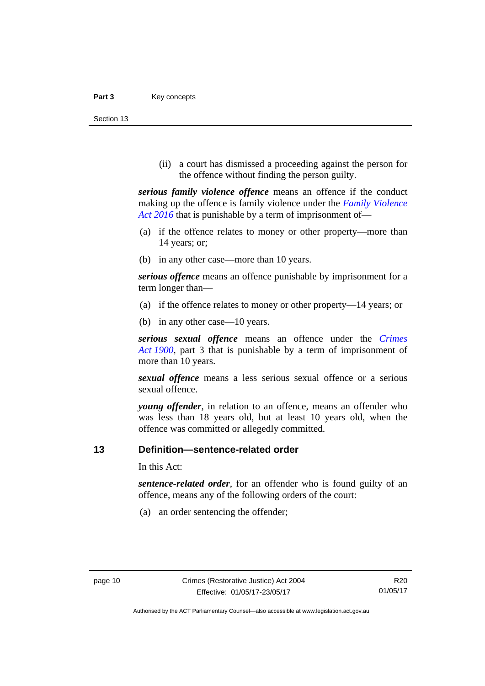Section 13

(ii) a court has dismissed a proceeding against the person for the offence without finding the person guilty.

*serious family violence offence* means an offence if the conduct making up the offence is family violence under the *[Family Violence](http://www.legislation.act.gov.au/a/2016-42)  [Act 2016](http://www.legislation.act.gov.au/a/2016-42)* that is punishable by a term of imprisonment of—

- (a) if the offence relates to money or other property—more than 14 years; or;
- (b) in any other case—more than 10 years.

*serious offence* means an offence punishable by imprisonment for a term longer than—

- (a) if the offence relates to money or other property—14 years; or
- (b) in any other case—10 years.

*serious sexual offence* means an offence under the *[Crimes](http://www.legislation.act.gov.au/a/1900-40)  [Act 1900](http://www.legislation.act.gov.au/a/1900-40)*, part 3 that is punishable by a term of imprisonment of more than 10 years.

*sexual offence* means a less serious sexual offence or a serious sexual offence.

*young offender*, in relation to an offence, means an offender who was less than 18 years old, but at least 10 years old, when the offence was committed or allegedly committed.

## <span id="page-15-0"></span>**13 Definition—sentence-related order**

In this Act:

*sentence-related order*, for an offender who is found guilty of an offence, means any of the following orders of the court:

(a) an order sentencing the offender;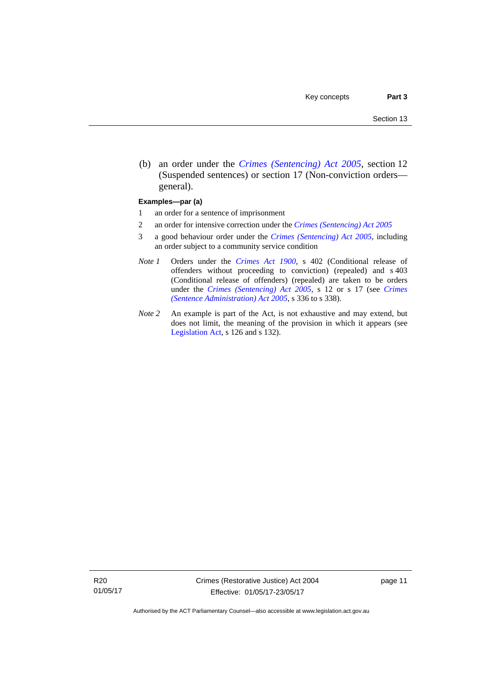(b) an order under the *[Crimes \(Sentencing\) Act 2005](http://www.legislation.act.gov.au/a/2005-58)*, section 12 (Suspended sentences) or section 17 (Non-conviction orders general).

#### **Examples—par (a)**

- 1 an order for a sentence of imprisonment
- 2 an order for intensive correction under the *[Crimes \(Sentencing\) Act 2005](http://www.legislation.act.gov.au/a/2005-58)*
- 3 a good behaviour order under the *[Crimes \(Sentencing\) Act 2005](http://www.legislation.act.gov.au/a/2005-58)*, including an order subject to a community service condition
- *Note 1* Orders under the *[Crimes Act 1900](http://www.legislation.act.gov.au/a/1900-40)*, s 402 (Conditional release of offenders without proceeding to conviction) (repealed) and s 403 (Conditional release of offenders) (repealed) are taken to be orders under the *[Crimes \(Sentencing\) Act 2005](http://www.legislation.act.gov.au/a/2005-58)*, s 12 or s 17 (see *[Crimes](http://www.legislation.act.gov.au/a/2005-59)  [\(Sentence Administration\) Act 2005](http://www.legislation.act.gov.au/a/2005-59)*, s 336 to s 338).
- *Note 2* An example is part of the Act, is not exhaustive and may extend, but does not limit, the meaning of the provision in which it appears (see [Legislation Act,](http://www.legislation.act.gov.au/a/2001-14) s 126 and s 132).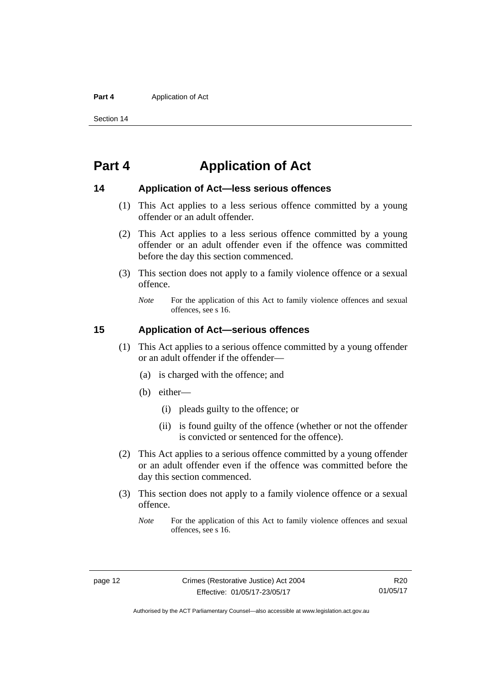#### **Part 4 Application of Act**

Section 14

## <span id="page-17-0"></span>**Part 4 Application of Act**

## <span id="page-17-1"></span>**14 Application of Act—less serious offences**

- (1) This Act applies to a less serious offence committed by a young offender or an adult offender.
- (2) This Act applies to a less serious offence committed by a young offender or an adult offender even if the offence was committed before the day this section commenced.
- (3) This section does not apply to a family violence offence or a sexual offence.
	- *Note* For the application of this Act to family violence offences and sexual offences, see s 16.

## <span id="page-17-2"></span>**15 Application of Act—serious offences**

- (1) This Act applies to a serious offence committed by a young offender or an adult offender if the offender—
	- (a) is charged with the offence; and
	- (b) either—
		- (i) pleads guilty to the offence; or
		- (ii) is found guilty of the offence (whether or not the offender is convicted or sentenced for the offence).
- (2) This Act applies to a serious offence committed by a young offender or an adult offender even if the offence was committed before the day this section commenced.
- (3) This section does not apply to a family violence offence or a sexual offence.
	- *Note* For the application of this Act to family violence offences and sexual offences, see s 16.

R20 01/05/17

Authorised by the ACT Parliamentary Counsel—also accessible at www.legislation.act.gov.au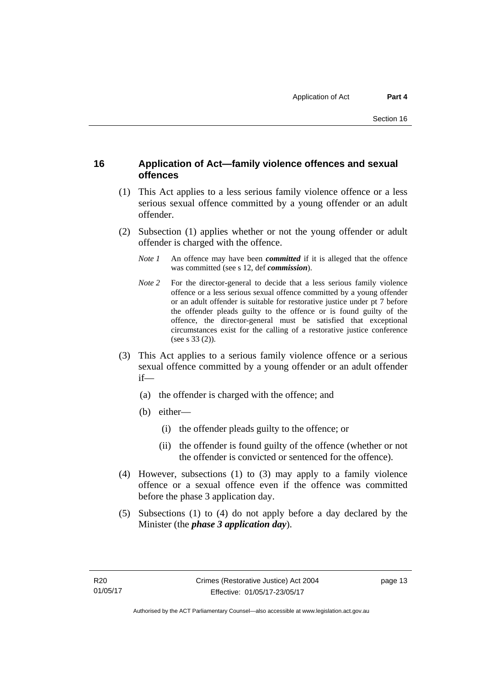## <span id="page-18-0"></span>**16 Application of Act—family violence offences and sexual offences**

- (1) This Act applies to a less serious family violence offence or a less serious sexual offence committed by a young offender or an adult offender.
- (2) Subsection (1) applies whether or not the young offender or adult offender is charged with the offence.
	- *Note 1* An offence may have been *committed* if it is alleged that the offence was committed (see s 12, def *commission*).
	- *Note* 2 For the director-general to decide that a less serious family violence offence or a less serious sexual offence committed by a young offender or an adult offender is suitable for restorative justice under pt 7 before the offender pleads guilty to the offence or is found guilty of the offence, the director-general must be satisfied that exceptional circumstances exist for the calling of a restorative justice conference (see s 33 (2)).
- (3) This Act applies to a serious family violence offence or a serious sexual offence committed by a young offender or an adult offender if—
	- (a) the offender is charged with the offence; and
	- (b) either—
		- (i) the offender pleads guilty to the offence; or
		- (ii) the offender is found guilty of the offence (whether or not the offender is convicted or sentenced for the offence).
- (4) However, subsections (1) to (3) may apply to a family violence offence or a sexual offence even if the offence was committed before the phase 3 application day.
- (5) Subsections (1) to (4) do not apply before a day declared by the Minister (the *phase 3 application day*).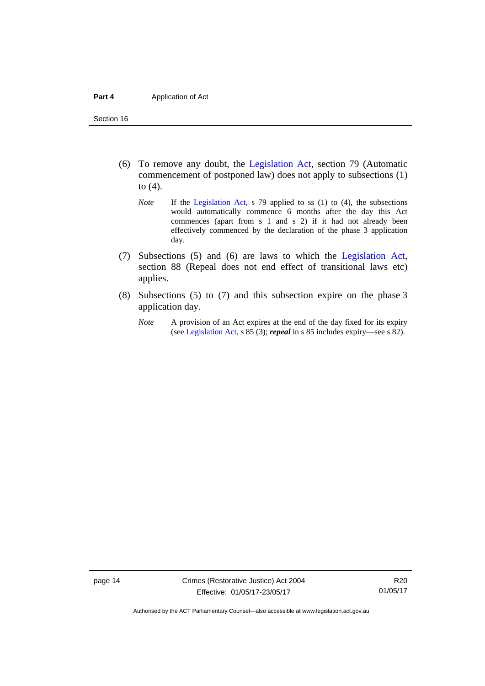Section 16

- (6) To remove any doubt, the [Legislation Act](http://www.legislation.act.gov.au/a/2001-14), section 79 (Automatic commencement of postponed law) does not apply to subsections (1) to (4).
	- *Note* If the [Legislation Act,](http://www.legislation.act.gov.au/a/2001-14) s 79 applied to ss (1) to (4), the subsections would automatically commence 6 months after the day this Act commences (apart from s 1 and s 2) if it had not already been effectively commenced by the declaration of the phase 3 application day.
- (7) Subsections (5) and (6) are laws to which the [Legislation Act](http://www.legislation.act.gov.au/a/2001-14), section 88 (Repeal does not end effect of transitional laws etc) applies.
- (8) Subsections (5) to (7) and this subsection expire on the phase 3 application day.
	- *Note* A provision of an Act expires at the end of the day fixed for its expiry (see [Legislation Act,](http://www.legislation.act.gov.au/a/2001-14) s 85 (3); *repeal* in s 85 includes expiry—see s 82).

page 14 Crimes (Restorative Justice) Act 2004 Effective: 01/05/17-23/05/17

R20 01/05/17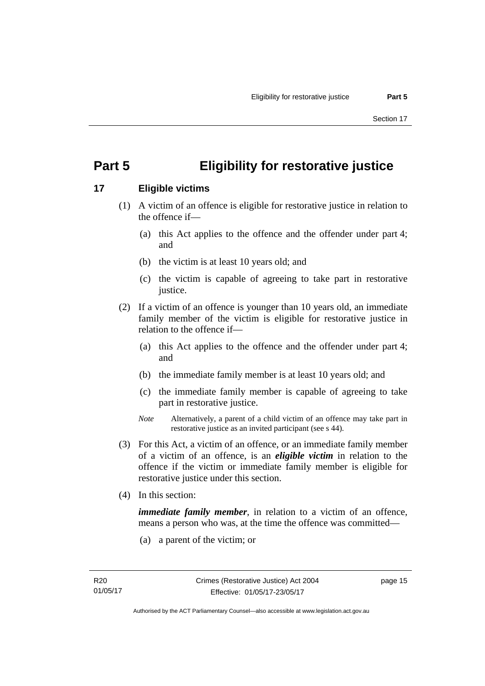## <span id="page-20-0"></span>**Part 5 Eligibility for restorative justice**

## <span id="page-20-1"></span>**17 Eligible victims**

- (1) A victim of an offence is eligible for restorative justice in relation to the offence if—
	- (a) this Act applies to the offence and the offender under part 4; and
	- (b) the victim is at least 10 years old; and
	- (c) the victim is capable of agreeing to take part in restorative justice.
- (2) If a victim of an offence is younger than 10 years old, an immediate family member of the victim is eligible for restorative justice in relation to the offence if—
	- (a) this Act applies to the offence and the offender under part 4; and
	- (b) the immediate family member is at least 10 years old; and
	- (c) the immediate family member is capable of agreeing to take part in restorative justice.
	- *Note* Alternatively, a parent of a child victim of an offence may take part in restorative justice as an invited participant (see s 44).
- (3) For this Act, a victim of an offence, or an immediate family member of a victim of an offence, is an *eligible victim* in relation to the offence if the victim or immediate family member is eligible for restorative justice under this section.
- (4) In this section:

*immediate family member*, in relation to a victim of an offence, means a person who was, at the time the offence was committed—

(a) a parent of the victim; or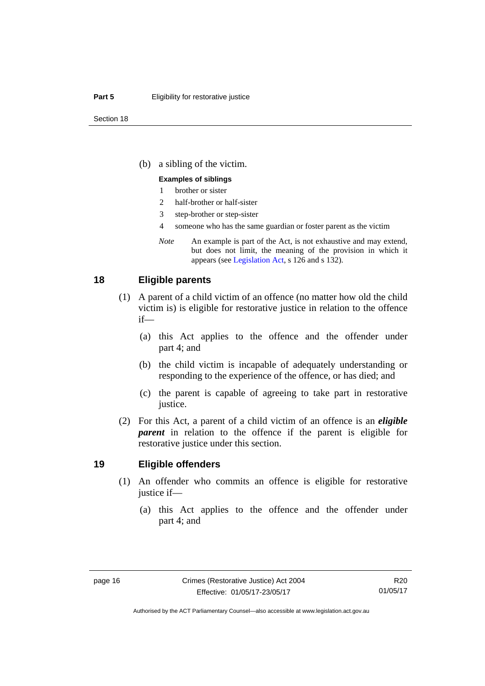#### **Part 5 Eligibility for restorative justice**

(b) a sibling of the victim.

#### **Examples of siblings**

- 1 brother or sister
- 2 half-brother or half-sister
- 3 step-brother or step-sister
- 4 someone who has the same guardian or foster parent as the victim
- *Note* An example is part of the Act, is not exhaustive and may extend, but does not limit, the meaning of the provision in which it appears (see [Legislation Act,](http://www.legislation.act.gov.au/a/2001-14) s 126 and s 132).

## <span id="page-21-0"></span>**18 Eligible parents**

- (1) A parent of a child victim of an offence (no matter how old the child victim is) is eligible for restorative justice in relation to the offence if—
	- (a) this Act applies to the offence and the offender under part 4; and
	- (b) the child victim is incapable of adequately understanding or responding to the experience of the offence, or has died; and
	- (c) the parent is capable of agreeing to take part in restorative justice.
- (2) For this Act, a parent of a child victim of an offence is an *eligible parent* in relation to the offence if the parent is eligible for restorative justice under this section.

#### <span id="page-21-1"></span>**19 Eligible offenders**

- (1) An offender who commits an offence is eligible for restorative justice if—
	- (a) this Act applies to the offence and the offender under part 4; and

R20 01/05/17

Authorised by the ACT Parliamentary Counsel—also accessible at www.legislation.act.gov.au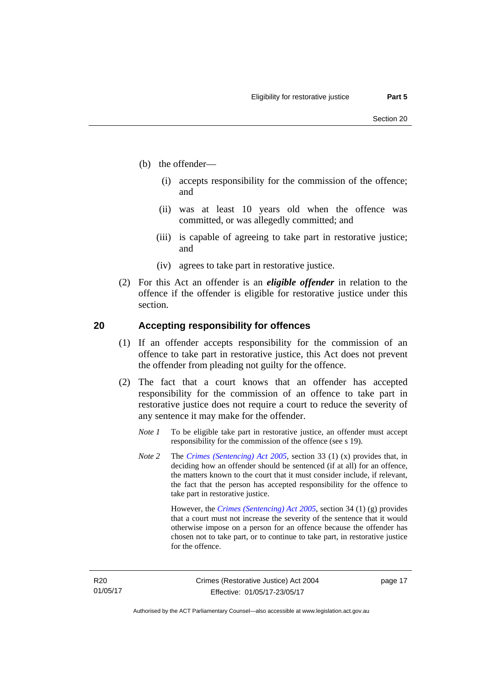- (b) the offender—
	- (i) accepts responsibility for the commission of the offence; and
	- (ii) was at least 10 years old when the offence was committed, or was allegedly committed; and
	- (iii) is capable of agreeing to take part in restorative justice; and
	- (iv) agrees to take part in restorative justice.
- (2) For this Act an offender is an *eligible offender* in relation to the offence if the offender is eligible for restorative justice under this section.

## <span id="page-22-0"></span>**20 Accepting responsibility for offences**

- (1) If an offender accepts responsibility for the commission of an offence to take part in restorative justice, this Act does not prevent the offender from pleading not guilty for the offence.
- (2) The fact that a court knows that an offender has accepted responsibility for the commission of an offence to take part in restorative justice does not require a court to reduce the severity of any sentence it may make for the offender.
	- *Note 1* To be eligible take part in restorative justice, an offender must accept responsibility for the commission of the offence (see s 19).
	- *Note 2* The *[Crimes \(Sentencing\) Act 2005](http://www.legislation.act.gov.au/a/2005-58)*, section 33 (1) (x) provides that, in deciding how an offender should be sentenced (if at all) for an offence, the matters known to the court that it must consider include, if relevant, the fact that the person has accepted responsibility for the offence to take part in restorative justice.

 However, the *[Crimes \(Sentencing\) Act 2005](http://www.legislation.act.gov.au/a/2005-58)*, section 34 (1) (g) provides that a court must not increase the severity of the sentence that it would otherwise impose on a person for an offence because the offender has chosen not to take part, or to continue to take part, in restorative justice for the offence.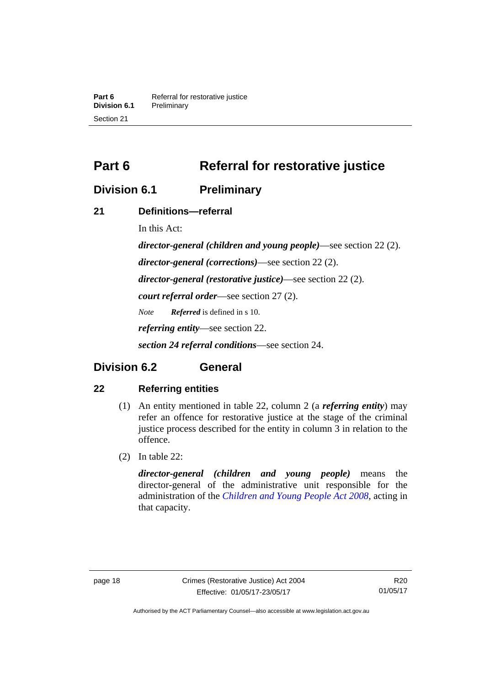**Part 6 Referral for restorative justice**<br>**Division 6.1 Preliminary Division 6.1** Preliminary Section 21

<span id="page-23-0"></span>**Part 6** Referral for restorative justice

## <span id="page-23-1"></span>**Division 6.1 Preliminary**

## <span id="page-23-2"></span>**21 Definitions—referral**

In this Act:

*director-general (children and young people)*—see section 22 (2). *director-general (corrections)*—see section 22 (2). *director-general (restorative justice)*—see section 22 (2). *court referral order*—see section 27 (2). *Note Referred* is defined in s 10. *referring entity*—see section 22. *section 24 referral conditions*—see section 24.

## <span id="page-23-3"></span>**Division 6.2 General**

## <span id="page-23-4"></span>**22 Referring entities**

- (1) An entity mentioned in table 22, column 2 (a *referring entity*) may refer an offence for restorative justice at the stage of the criminal justice process described for the entity in column 3 in relation to the offence.
- (2) In table 22:

*director-general (children and young people)* means the director-general of the administrative unit responsible for the administration of the *[Children and Young People Act 2008](http://www.legislation.act.gov.au/a/2008-19)*, acting in that capacity.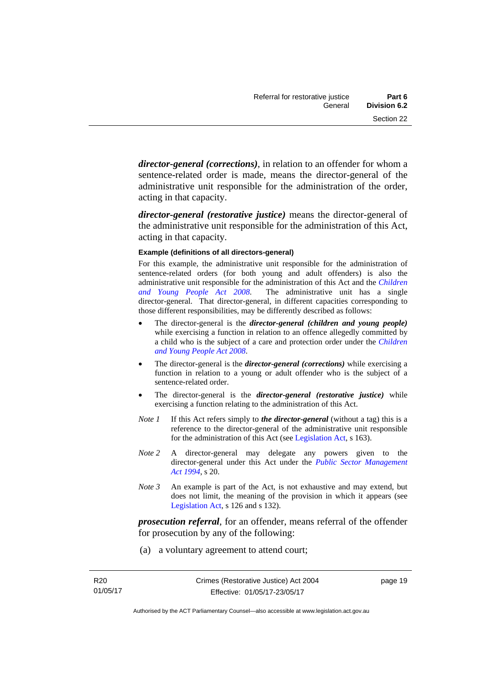*director-general (corrections)*, in relation to an offender for whom a sentence-related order is made, means the director-general of the administrative unit responsible for the administration of the order, acting in that capacity.

*director-general (restorative justice)* means the director-general of the administrative unit responsible for the administration of this Act, acting in that capacity.

#### **Example (definitions of all directors-general)**

For this example, the administrative unit responsible for the administration of sentence-related orders (for both young and adult offenders) is also the administrative unit responsible for the administration of this Act and the *[Children](http://www.legislation.act.gov.au/a/2008-19)  [and Young People Act 2008](http://www.legislation.act.gov.au/a/2008-19)*. The administrative unit has a single director-general. That director-general, in different capacities corresponding to those different responsibilities, may be differently described as follows:

- The director-general is the *director-general (children and young people)*  while exercising a function in relation to an offence allegedly committed by a child who is the subject of a care and protection order under the *[Children](http://www.legislation.act.gov.au/a/2008-19)  [and Young People Act 2008](http://www.legislation.act.gov.au/a/2008-19)*.
- The director-general is the *director-general (corrections)* while exercising a function in relation to a young or adult offender who is the subject of a sentence-related order.
- The director-general is the *director-general (restorative justice)* while exercising a function relating to the administration of this Act.
- *Note 1* If this Act refers simply to *the director-general* (without a tag) this is a reference to the director-general of the administrative unit responsible for the administration of this Act (see [Legislation Act,](http://www.legislation.act.gov.au/a/2001-14) s 163).
- *Note 2* A director-general may delegate any powers given to the director-general under this Act under the *[Public Sector Management](http://www.legislation.act.gov.au/a/1994-37)  [Act 1994](http://www.legislation.act.gov.au/a/1994-37)*, s 20.
- *Note 3* An example is part of the Act, is not exhaustive and may extend, but does not limit, the meaning of the provision in which it appears (see [Legislation Act,](http://www.legislation.act.gov.au/a/2001-14) s 126 and s 132).

*prosecution referral*, for an offender, means referral of the offender for prosecution by any of the following:

(a) a voluntary agreement to attend court;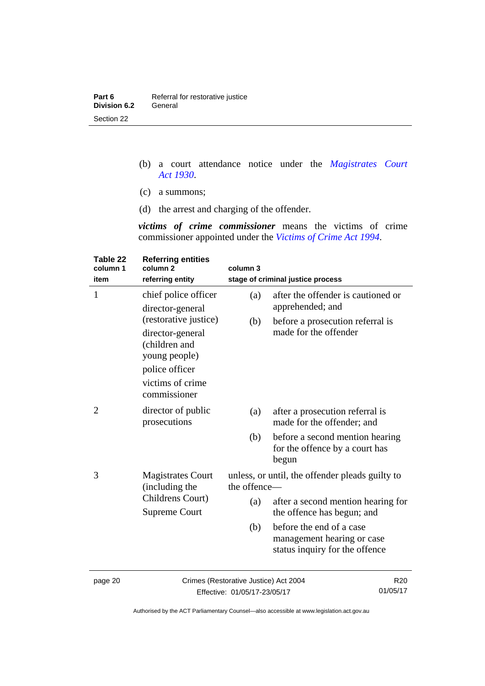| Part 6              | Referral for restorative justice |
|---------------------|----------------------------------|
| <b>Division 6.2</b> | General                          |
| Section 22          |                                  |

- (b) a court attendance notice under the *[Magistrates Court](http://www.legislation.act.gov.au/a/1930-21)  [Act 1930](http://www.legislation.act.gov.au/a/1930-21)*.
- (c) a summons;
- (d) the arrest and charging of the offender.

*victims of crime commissioner* means the victims of crime commissioner appointed under the *[Victims of Crime Act 1994](http://www.legislation.act.gov.au/a/1994-83)*.

| Table 22<br>column 1<br>item | <b>Referring entities</b><br>column <sub>2</sub><br>referring entity                                                                                  | column 3                                                        | stage of criminal justice process                                                        |
|------------------------------|-------------------------------------------------------------------------------------------------------------------------------------------------------|-----------------------------------------------------------------|------------------------------------------------------------------------------------------|
| $\mathbf{1}$                 | chief police officer                                                                                                                                  | (a)                                                             | after the offender is cautioned or<br>apprehended; and                                   |
|                              | director-general<br>(restorative justice)<br>director-general<br>(children and<br>young people)<br>police officer<br>victims of crime<br>commissioner | (b)                                                             | before a prosecution referral is<br>made for the offender                                |
| 2                            | director of public<br>prosecutions                                                                                                                    | (a)                                                             | after a prosecution referral is<br>made for the offender; and                            |
|                              |                                                                                                                                                       | (b)                                                             | before a second mention hearing<br>for the offence by a court has<br>begun               |
| 3                            | <b>Magistrates Court</b><br>(including the                                                                                                            | unless, or until, the offender pleads guilty to<br>the offence- |                                                                                          |
|                              | Childrens Court)<br><b>Supreme Court</b>                                                                                                              | (a)                                                             | after a second mention hearing for<br>the offence has begun; and                         |
|                              |                                                                                                                                                       | (b)                                                             | before the end of a case<br>management hearing or case<br>status inquiry for the offence |
| 0.00000                      |                                                                                                                                                       | Crimos (Bootorotivo, Juntino) Apt 2004                          | ∩פם                                                                                      |

page 20 Crimes (Restorative Justice) Act 2004 Effective: 01/05/17-23/05/17

R20 01/05/17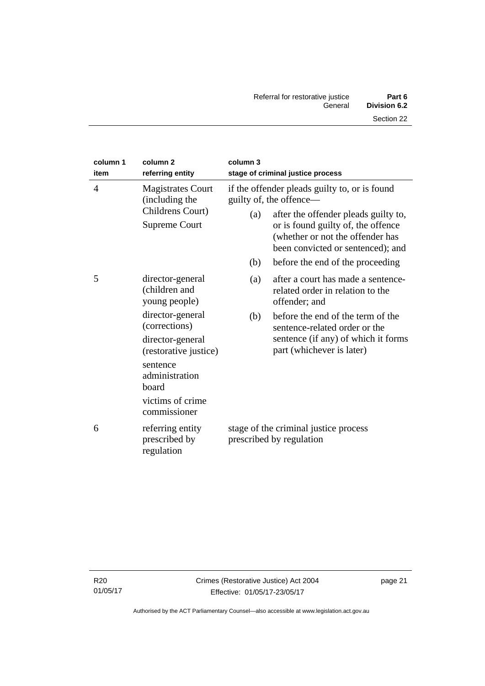| column 1<br>item | column <sub>2</sub><br>referring entity                                                                                               | column 3                                                          | stage of criminal justice process                                                                                                                                                                                               |
|------------------|---------------------------------------------------------------------------------------------------------------------------------------|-------------------------------------------------------------------|---------------------------------------------------------------------------------------------------------------------------------------------------------------------------------------------------------------------------------|
| $\overline{4}$   | <b>Magistrates Court</b><br>(including the<br>Childrens Court)<br><b>Supreme Court</b>                                                | (a)                                                               | if the offender pleads guilty to, or is found<br>guilty of, the offence—<br>after the offender pleads guilty to,<br>or is found guilty of, the offence<br>(whether or not the offender has<br>been convicted or sentenced); and |
| 5                | director-general<br>(children and<br>young people)<br>director-general                                                                | (b)<br>(a)<br>(b)                                                 | before the end of the proceeding<br>after a court has made a sentence-<br>related order in relation to the<br>offender; and<br>before the end of the term of the                                                                |
|                  | (corrections)<br>director-general<br>(restorative justice)<br>sentence<br>administration<br>board<br>victims of crime<br>commissioner |                                                                   | sentence-related order or the<br>sentence (if any) of which it forms<br>part (whichever is later)                                                                                                                               |
| 6                | referring entity<br>prescribed by<br>regulation                                                                                       | stage of the criminal justice process<br>prescribed by regulation |                                                                                                                                                                                                                                 |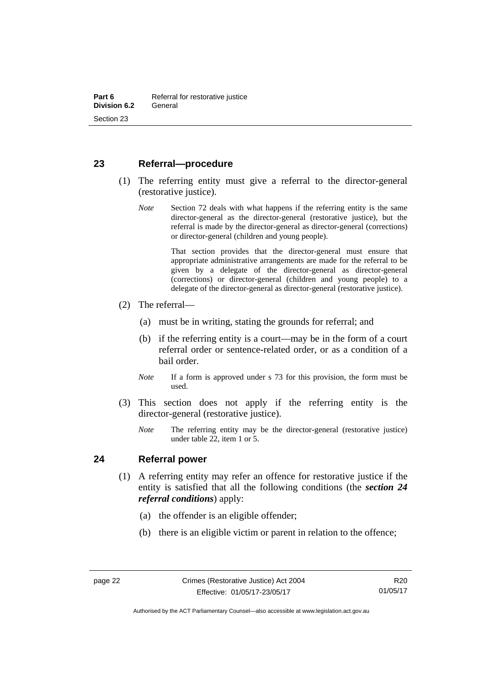## <span id="page-27-0"></span>**23 Referral—procedure**

- (1) The referring entity must give a referral to the director-general (restorative justice).
	- *Note* Section 72 deals with what happens if the referring entity is the same director-general as the director-general (restorative justice), but the referral is made by the director-general as director-general (corrections) or director-general (children and young people).

 That section provides that the director-general must ensure that appropriate administrative arrangements are made for the referral to be given by a delegate of the director-general as director-general (corrections) or director-general (children and young people) to a delegate of the director-general as director-general (restorative justice).

- (2) The referral—
	- (a) must be in writing, stating the grounds for referral; and
	- (b) if the referring entity is a court—may be in the form of a court referral order or sentence-related order, or as a condition of a bail order.
	- *Note* If a form is approved under s 73 for this provision, the form must be used.
- (3) This section does not apply if the referring entity is the director-general (restorative justice).
	- *Note* The referring entity may be the director-general (restorative justice) under table 22, item 1 or 5.

### <span id="page-27-1"></span>**24 Referral power**

- (1) A referring entity may refer an offence for restorative justice if the entity is satisfied that all the following conditions (the *section 24 referral conditions*) apply:
	- (a) the offender is an eligible offender;
	- (b) there is an eligible victim or parent in relation to the offence;

Authorised by the ACT Parliamentary Counsel—also accessible at www.legislation.act.gov.au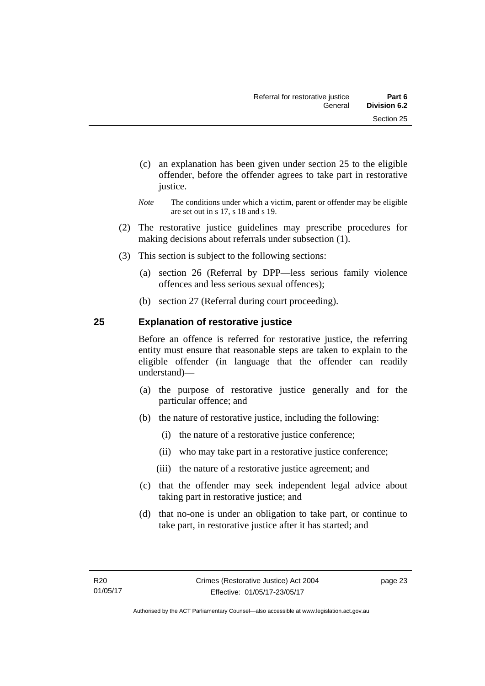- (c) an explanation has been given under section 25 to the eligible offender, before the offender agrees to take part in restorative justice.
- *Note* The conditions under which a victim, parent or offender may be eligible are set out in s 17, s 18 and s 19.
- (2) The restorative justice guidelines may prescribe procedures for making decisions about referrals under subsection (1).
- (3) This section is subject to the following sections:
	- (a) section 26 (Referral by DPP—less serious family violence offences and less serious sexual offences);
	- (b) section 27 (Referral during court proceeding).

## <span id="page-28-0"></span>**25 Explanation of restorative justice**

Before an offence is referred for restorative justice, the referring entity must ensure that reasonable steps are taken to explain to the eligible offender (in language that the offender can readily understand)––

- (a) the purpose of restorative justice generally and for the particular offence; and
- (b) the nature of restorative justice, including the following:
	- (i) the nature of a restorative justice conference;
	- (ii) who may take part in a restorative justice conference;
	- (iii) the nature of a restorative justice agreement; and
- (c) that the offender may seek independent legal advice about taking part in restorative justice; and
- (d) that no-one is under an obligation to take part, or continue to take part, in restorative justice after it has started; and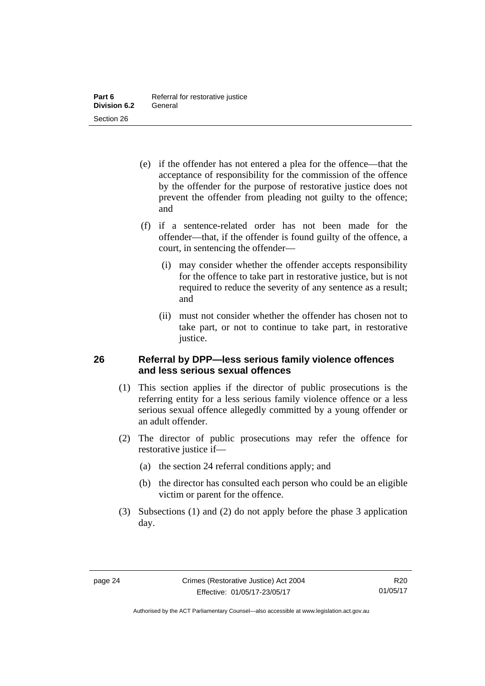- (e) if the offender has not entered a plea for the offence—that the acceptance of responsibility for the commission of the offence by the offender for the purpose of restorative justice does not prevent the offender from pleading not guilty to the offence; and
- (f) if a sentence-related order has not been made for the offender—that, if the offender is found guilty of the offence, a court, in sentencing the offender—
	- (i) may consider whether the offender accepts responsibility for the offence to take part in restorative justice, but is not required to reduce the severity of any sentence as a result; and
	- (ii) must not consider whether the offender has chosen not to take part, or not to continue to take part, in restorative justice.

## <span id="page-29-0"></span>**26 Referral by DPP—less serious family violence offences and less serious sexual offences**

- (1) This section applies if the director of public prosecutions is the referring entity for a less serious family violence offence or a less serious sexual offence allegedly committed by a young offender or an adult offender.
- (2) The director of public prosecutions may refer the offence for restorative justice if—
	- (a) the section 24 referral conditions apply; and
	- (b) the director has consulted each person who could be an eligible victim or parent for the offence.
- (3) Subsections (1) and (2) do not apply before the phase 3 application day.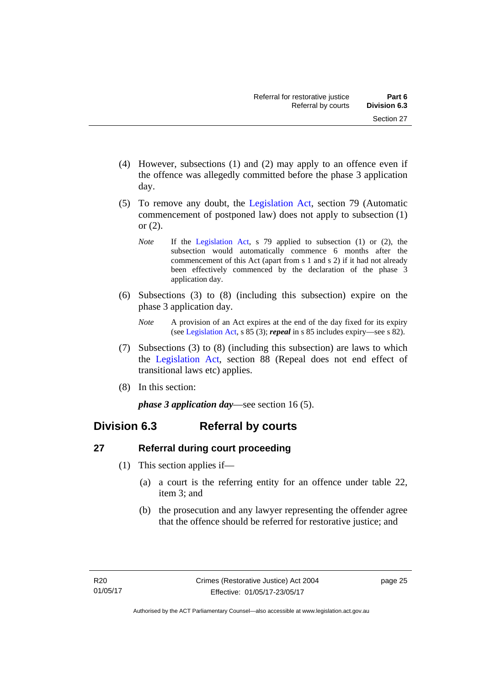- (4) However, subsections (1) and (2) may apply to an offence even if the offence was allegedly committed before the phase 3 application day.
- (5) To remove any doubt, the [Legislation Act](http://www.legislation.act.gov.au/a/2001-14), section 79 (Automatic commencement of postponed law) does not apply to subsection (1) or (2).
	- *Note* If the [Legislation Act,](http://www.legislation.act.gov.au/a/2001-14) s 79 applied to subsection (1) or (2), the subsection would automatically commence 6 months after the commencement of this Act (apart from s 1 and s 2) if it had not already been effectively commenced by the declaration of the phase 3 application day.
- (6) Subsections (3) to (8) (including this subsection) expire on the phase 3 application day.
	- *Note* A provision of an Act expires at the end of the day fixed for its expiry (see [Legislation Act,](http://www.legislation.act.gov.au/a/2001-14) s 85 (3); *repeal* in s 85 includes expiry—see s 82).
- (7) Subsections (3) to (8) (including this subsection) are laws to which the [Legislation Act](http://www.legislation.act.gov.au/a/2001-14), section 88 (Repeal does not end effect of transitional laws etc) applies.
- (8) In this section:

*phase 3 application day*—see section 16 (5).

## <span id="page-30-0"></span>**Division 6.3 Referral by courts**

## <span id="page-30-1"></span>**27 Referral during court proceeding**

- (1) This section applies if—
	- (a) a court is the referring entity for an offence under table 22, item 3; and
	- (b) the prosecution and any lawyer representing the offender agree that the offence should be referred for restorative justice; and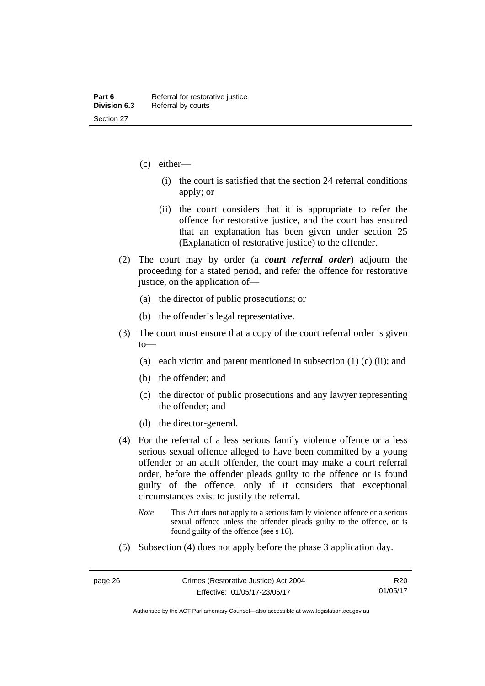- (c) either—
	- (i) the court is satisfied that the section 24 referral conditions apply; or
	- (ii) the court considers that it is appropriate to refer the offence for restorative justice, and the court has ensured that an explanation has been given under section 25 (Explanation of restorative justice) to the offender.
- (2) The court may by order (a *court referral order*) adjourn the proceeding for a stated period, and refer the offence for restorative justice, on the application of—
	- (a) the director of public prosecutions; or
	- (b) the offender's legal representative.
- (3) The court must ensure that a copy of the court referral order is given to—
	- (a) each victim and parent mentioned in subsection  $(1)$  (c)  $(ii)$ ; and
	- (b) the offender; and
	- (c) the director of public prosecutions and any lawyer representing the offender; and
	- (d) the director-general.
- (4) For the referral of a less serious family violence offence or a less serious sexual offence alleged to have been committed by a young offender or an adult offender, the court may make a court referral order, before the offender pleads guilty to the offence or is found guilty of the offence, only if it considers that exceptional circumstances exist to justify the referral.
	- *Note* This Act does not apply to a serious family violence offence or a serious sexual offence unless the offender pleads guilty to the offence, or is found guilty of the offence (see s 16).
- (5) Subsection (4) does not apply before the phase 3 application day.

Authorised by the ACT Parliamentary Counsel—also accessible at www.legislation.act.gov.au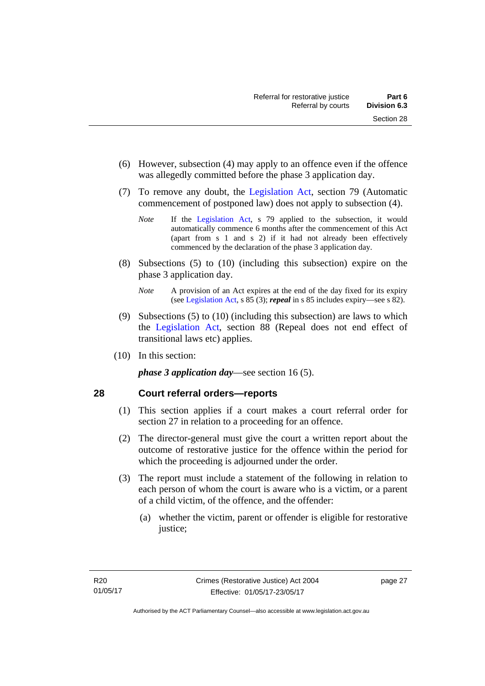- (6) However, subsection (4) may apply to an offence even if the offence was allegedly committed before the phase 3 application day.
- (7) To remove any doubt, the [Legislation Act](http://www.legislation.act.gov.au/a/2001-14), section 79 (Automatic commencement of postponed law) does not apply to subsection (4).
	- *Note* If the [Legislation Act,](http://www.legislation.act.gov.au/a/2001-14) s 79 applied to the subsection, it would automatically commence 6 months after the commencement of this Act (apart from s 1 and s 2) if it had not already been effectively commenced by the declaration of the phase 3 application day.
- (8) Subsections (5) to (10) (including this subsection) expire on the phase 3 application day.
	- *Note* A provision of an Act expires at the end of the day fixed for its expiry (see [Legislation Act,](http://www.legislation.act.gov.au/a/2001-14) s 85 (3); *repeal* in s 85 includes expiry—see s 82).
- (9) Subsections (5) to (10) (including this subsection) are laws to which the [Legislation Act](http://www.legislation.act.gov.au/a/2001-14), section 88 (Repeal does not end effect of transitional laws etc) applies.
- (10) In this section:

*phase 3 application day*—see section 16 (5).

## <span id="page-32-0"></span>**28 Court referral orders—reports**

- (1) This section applies if a court makes a court referral order for section 27 in relation to a proceeding for an offence.
- (2) The director-general must give the court a written report about the outcome of restorative justice for the offence within the period for which the proceeding is adjourned under the order.
- (3) The report must include a statement of the following in relation to each person of whom the court is aware who is a victim, or a parent of a child victim, of the offence, and the offender:
	- (a) whether the victim, parent or offender is eligible for restorative justice;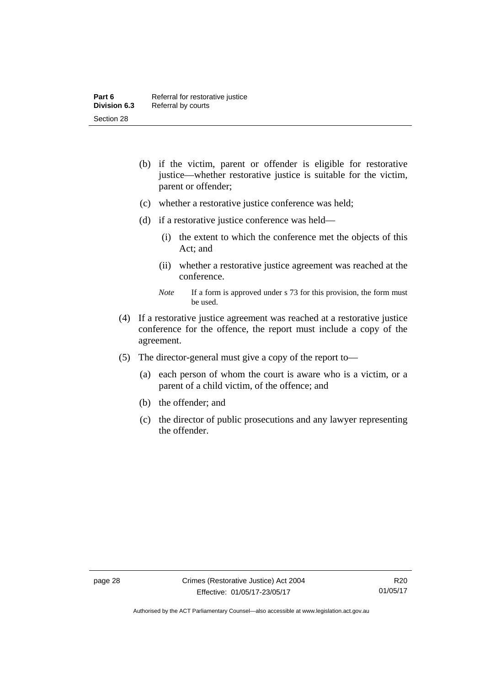- (b) if the victim, parent or offender is eligible for restorative justice—whether restorative justice is suitable for the victim, parent or offender;
- (c) whether a restorative justice conference was held;
- (d) if a restorative justice conference was held—
	- (i) the extent to which the conference met the objects of this Act; and
	- (ii) whether a restorative justice agreement was reached at the conference.
	- *Note* If a form is approved under s 73 for this provision, the form must be used.
- (4) If a restorative justice agreement was reached at a restorative justice conference for the offence, the report must include a copy of the agreement.
- (5) The director-general must give a copy of the report to—
	- (a) each person of whom the court is aware who is a victim, or a parent of a child victim, of the offence; and
	- (b) the offender; and
	- (c) the director of public prosecutions and any lawyer representing the offender.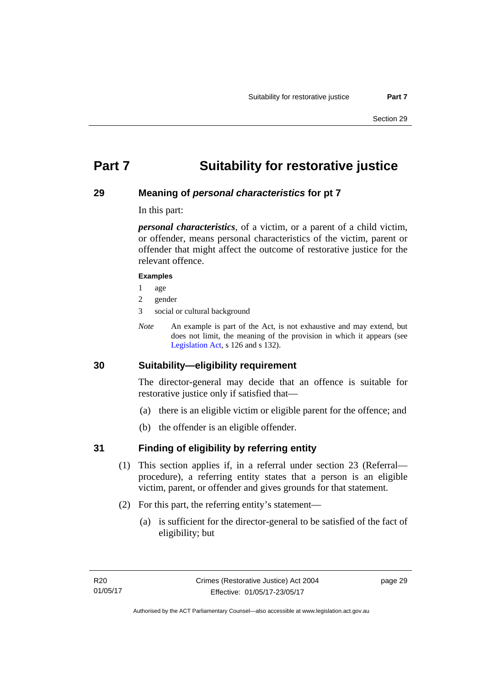## <span id="page-34-0"></span>**Part 7 Suitability for restorative justice**

## <span id="page-34-1"></span>**29 Meaning of** *personal characteristics* **for pt 7**

In this part:

*personal characteristics*, of a victim, or a parent of a child victim, or offender, means personal characteristics of the victim, parent or offender that might affect the outcome of restorative justice for the relevant offence.

#### **Examples**

- 1 age
- 2 gender
- 3 social or cultural background
- *Note* An example is part of the Act, is not exhaustive and may extend, but does not limit, the meaning of the provision in which it appears (see [Legislation Act,](http://www.legislation.act.gov.au/a/2001-14) s 126 and s 132).

## <span id="page-34-2"></span>**30 Suitability—eligibility requirement**

The director-general may decide that an offence is suitable for restorative justice only if satisfied that—

- (a) there is an eligible victim or eligible parent for the offence; and
- (b) the offender is an eligible offender.

## <span id="page-34-3"></span>**31 Finding of eligibility by referring entity**

- (1) This section applies if, in a referral under section 23 (Referral procedure), a referring entity states that a person is an eligible victim, parent, or offender and gives grounds for that statement.
- (2) For this part, the referring entity's statement—
	- (a) is sufficient for the director-general to be satisfied of the fact of eligibility; but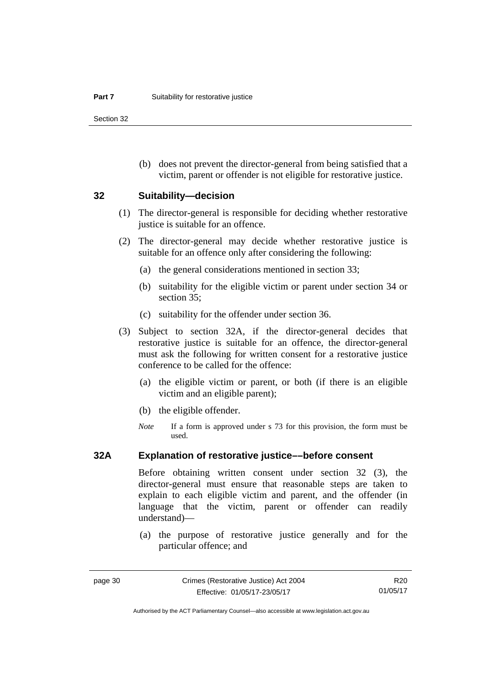Section 32

 (b) does not prevent the director-general from being satisfied that a victim, parent or offender is not eligible for restorative justice.

#### <span id="page-35-0"></span>**32 Suitability—decision**

- (1) The director-general is responsible for deciding whether restorative justice is suitable for an offence.
- (2) The director-general may decide whether restorative justice is suitable for an offence only after considering the following:
	- (a) the general considerations mentioned in section 33;
	- (b) suitability for the eligible victim or parent under section 34 or section 35:
	- (c) suitability for the offender under section 36.
- (3) Subject to section 32A, if the director-general decides that restorative justice is suitable for an offence, the director-general must ask the following for written consent for a restorative justice conference to be called for the offence:
	- (a) the eligible victim or parent, or both (if there is an eligible victim and an eligible parent);
	- (b) the eligible offender.
	- *Note* If a form is approved under s 73 for this provision, the form must be used.

### <span id="page-35-1"></span>**32A Explanation of restorative justice––before consent**

Before obtaining written consent under section 32 (3), the director-general must ensure that reasonable steps are taken to explain to each eligible victim and parent, and the offender (in language that the victim, parent or offender can readily understand)—

 (a) the purpose of restorative justice generally and for the particular offence; and

R20 01/05/17

Authorised by the ACT Parliamentary Counsel—also accessible at www.legislation.act.gov.au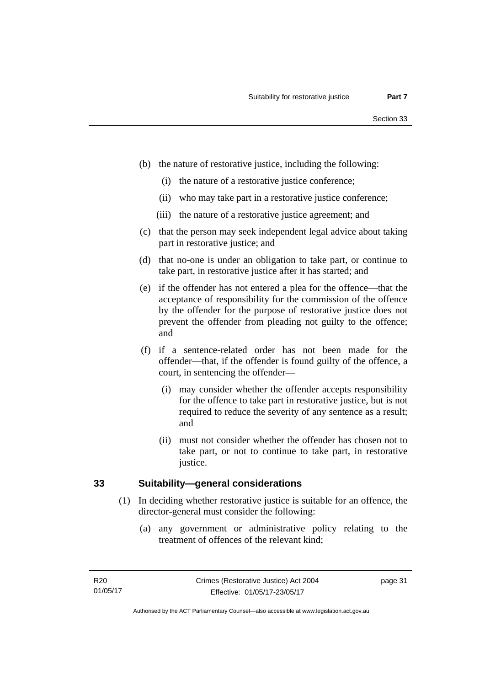- (b) the nature of restorative justice, including the following:
	- (i) the nature of a restorative justice conference;
	- (ii) who may take part in a restorative justice conference;
	- (iii) the nature of a restorative justice agreement; and
- (c) that the person may seek independent legal advice about taking part in restorative justice; and
- (d) that no-one is under an obligation to take part, or continue to take part, in restorative justice after it has started; and
- (e) if the offender has not entered a plea for the offence—that the acceptance of responsibility for the commission of the offence by the offender for the purpose of restorative justice does not prevent the offender from pleading not guilty to the offence; and
- (f) if a sentence-related order has not been made for the offender—that, if the offender is found guilty of the offence, a court, in sentencing the offender—
	- (i) may consider whether the offender accepts responsibility for the offence to take part in restorative justice, but is not required to reduce the severity of any sentence as a result; and
	- (ii) must not consider whether the offender has chosen not to take part, or not to continue to take part, in restorative justice.

## **33 Suitability—general considerations**

- (1) In deciding whether restorative justice is suitable for an offence, the director-general must consider the following:
	- (a) any government or administrative policy relating to the treatment of offences of the relevant kind;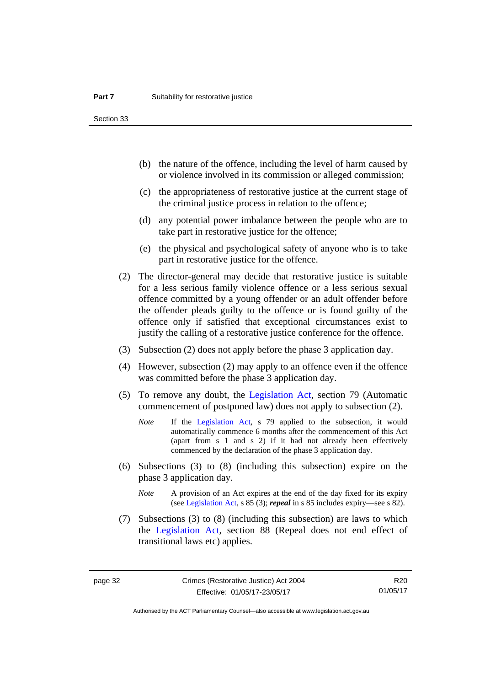Section 33

- (b) the nature of the offence, including the level of harm caused by or violence involved in its commission or alleged commission;
- (c) the appropriateness of restorative justice at the current stage of the criminal justice process in relation to the offence;
- (d) any potential power imbalance between the people who are to take part in restorative justice for the offence;
- (e) the physical and psychological safety of anyone who is to take part in restorative justice for the offence.
- (2) The director-general may decide that restorative justice is suitable for a less serious family violence offence or a less serious sexual offence committed by a young offender or an adult offender before the offender pleads guilty to the offence or is found guilty of the offence only if satisfied that exceptional circumstances exist to justify the calling of a restorative justice conference for the offence.
- (3) Subsection (2) does not apply before the phase 3 application day.
- (4) However, subsection (2) may apply to an offence even if the offence was committed before the phase 3 application day.
- (5) To remove any doubt, the [Legislation Act](http://www.legislation.act.gov.au/a/2001-14), section 79 (Automatic commencement of postponed law) does not apply to subsection (2).
	- *Note* If the [Legislation Act,](http://www.legislation.act.gov.au/a/2001-14) s 79 applied to the subsection, it would automatically commence 6 months after the commencement of this Act (apart from s 1 and s 2) if it had not already been effectively commenced by the declaration of the phase 3 application day.
- (6) Subsections (3) to (8) (including this subsection) expire on the phase 3 application day.
	- *Note* A provision of an Act expires at the end of the day fixed for its expiry (see [Legislation Act,](http://www.legislation.act.gov.au/a/2001-14) s 85 (3); *repeal* in s 85 includes expiry—see s 82).
- (7) Subsections (3) to (8) (including this subsection) are laws to which the [Legislation Act](http://www.legislation.act.gov.au/a/2001-14), section 88 (Repeal does not end effect of transitional laws etc) applies.

R20 01/05/17

Authorised by the ACT Parliamentary Counsel—also accessible at www.legislation.act.gov.au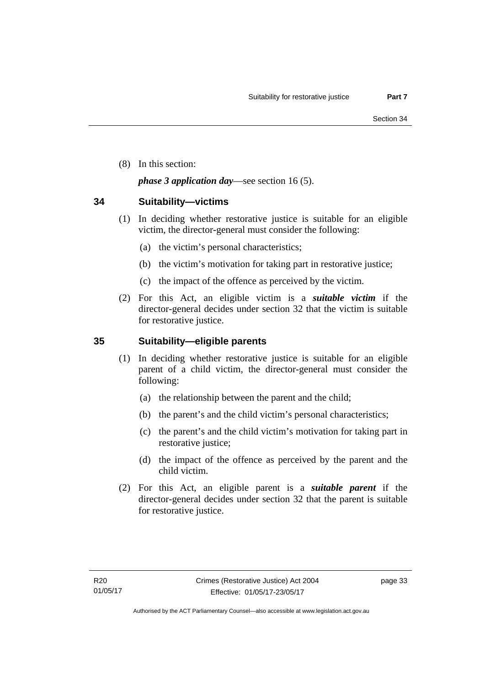(8) In this section:

## *phase 3 application day*—see section 16 (5).

## **34 Suitability—victims**

- (1) In deciding whether restorative justice is suitable for an eligible victim, the director-general must consider the following:
	- (a) the victim's personal characteristics;
	- (b) the victim's motivation for taking part in restorative justice;
	- (c) the impact of the offence as perceived by the victim.
- (2) For this Act, an eligible victim is a *suitable victim* if the director-general decides under section 32 that the victim is suitable for restorative justice.

## **35 Suitability—eligible parents**

- (1) In deciding whether restorative justice is suitable for an eligible parent of a child victim, the director-general must consider the following:
	- (a) the relationship between the parent and the child;
	- (b) the parent's and the child victim's personal characteristics;
	- (c) the parent's and the child victim's motivation for taking part in restorative justice;
	- (d) the impact of the offence as perceived by the parent and the child victim.
- (2) For this Act, an eligible parent is a *suitable parent* if the director-general decides under section 32 that the parent is suitable for restorative justice.

page 33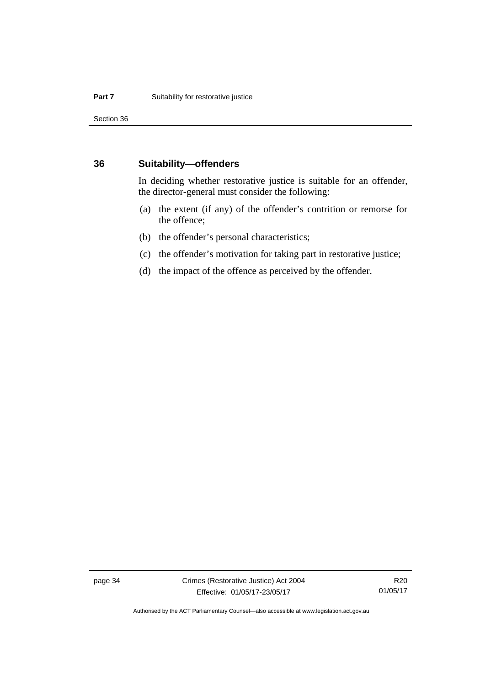Section 36

### **36 Suitability—offenders**

In deciding whether restorative justice is suitable for an offender, the director-general must consider the following:

- (a) the extent (if any) of the offender's contrition or remorse for the offence;
- (b) the offender's personal characteristics;
- (c) the offender's motivation for taking part in restorative justice;
- (d) the impact of the offence as perceived by the offender.

page 34 Crimes (Restorative Justice) Act 2004 Effective: 01/05/17-23/05/17

R20 01/05/17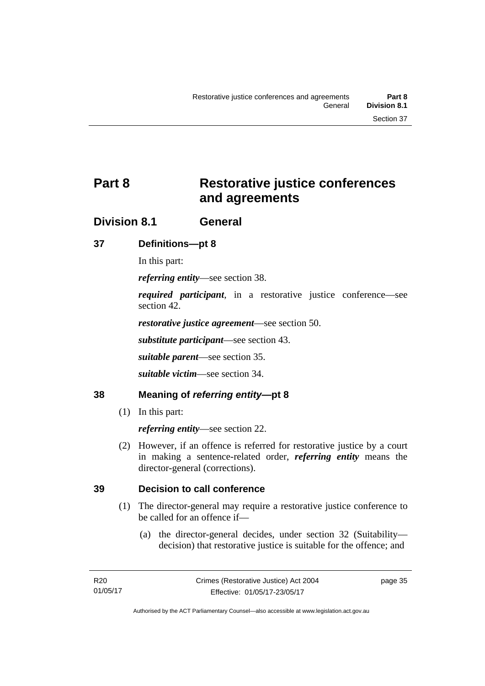# **Part 8 Restorative justice conferences and agreements**

## **Division 8.1 General**

## **37 Definitions—pt 8**

In this part:

*referring entity*—see section 38.

*required participant*, in a restorative justice conference—see section 42.

*restorative justice agreement*—see section 50.

*substitute participant*—see section 43.

*suitable parent*—see section 35.

*suitable victim*—see section 34.

## **38 Meaning of** *referring entity***—pt 8**

(1) In this part:

*referring entity*—see section 22.

 (2) However, if an offence is referred for restorative justice by a court in making a sentence-related order, *referring entity* means the director-general (corrections).

## **39 Decision to call conference**

- (1) The director-general may require a restorative justice conference to be called for an offence if—
	- (a) the director-general decides, under section 32 (Suitability decision) that restorative justice is suitable for the offence; and

page 35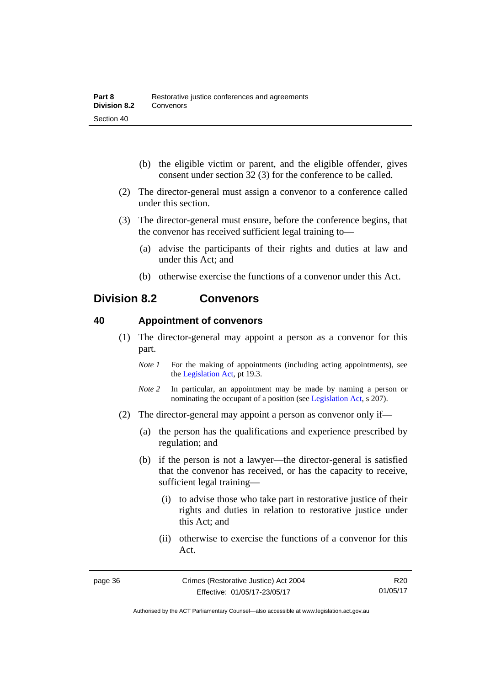- (b) the eligible victim or parent, and the eligible offender, gives consent under section 32 (3) for the conference to be called.
- (2) The director-general must assign a convenor to a conference called under this section.
- (3) The director-general must ensure, before the conference begins, that the convenor has received sufficient legal training to—
	- (a) advise the participants of their rights and duties at law and under this Act; and
	- (b) otherwise exercise the functions of a convenor under this Act.

## **Division 8.2 Convenors**

### **40 Appointment of convenors**

- (1) The director-general may appoint a person as a convenor for this part.
	- *Note 1* For the making of appointments (including acting appointments), see the [Legislation Act,](http://www.legislation.act.gov.au/a/2001-14) pt 19.3.
	- *Note 2* In particular, an appointment may be made by naming a person or nominating the occupant of a position (see [Legislation Act](http://www.legislation.act.gov.au/a/2001-14), s 207).
- (2) The director-general may appoint a person as convenor only if—
	- (a) the person has the qualifications and experience prescribed by regulation; and
	- (b) if the person is not a lawyer—the director-general is satisfied that the convenor has received, or has the capacity to receive, sufficient legal training—
		- (i) to advise those who take part in restorative justice of their rights and duties in relation to restorative justice under this Act; and
		- (ii) otherwise to exercise the functions of a convenor for this Act.

R20 01/05/17

Authorised by the ACT Parliamentary Counsel—also accessible at www.legislation.act.gov.au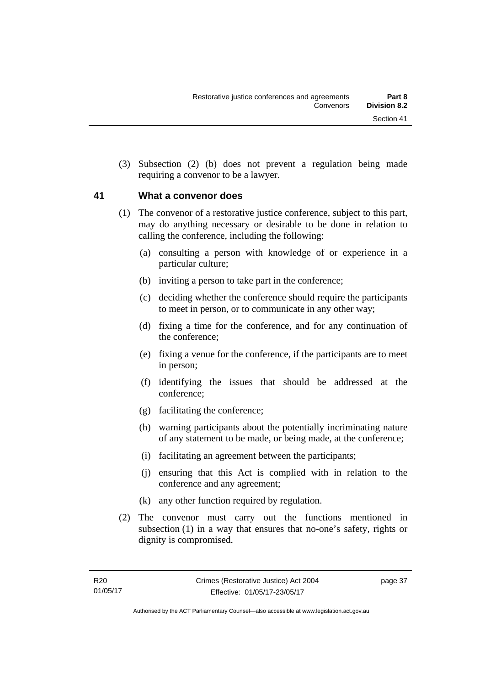(3) Subsection (2) (b) does not prevent a regulation being made requiring a convenor to be a lawyer.

## **41 What a convenor does**

- (1) The convenor of a restorative justice conference, subject to this part, may do anything necessary or desirable to be done in relation to calling the conference, including the following:
	- (a) consulting a person with knowledge of or experience in a particular culture;
	- (b) inviting a person to take part in the conference;
	- (c) deciding whether the conference should require the participants to meet in person, or to communicate in any other way;
	- (d) fixing a time for the conference, and for any continuation of the conference;
	- (e) fixing a venue for the conference, if the participants are to meet in person;
	- (f) identifying the issues that should be addressed at the conference;
	- (g) facilitating the conference;
	- (h) warning participants about the potentially incriminating nature of any statement to be made, or being made, at the conference;
	- (i) facilitating an agreement between the participants;
	- (j) ensuring that this Act is complied with in relation to the conference and any agreement;
	- (k) any other function required by regulation.
- (2) The convenor must carry out the functions mentioned in subsection (1) in a way that ensures that no-one's safety, rights or dignity is compromised.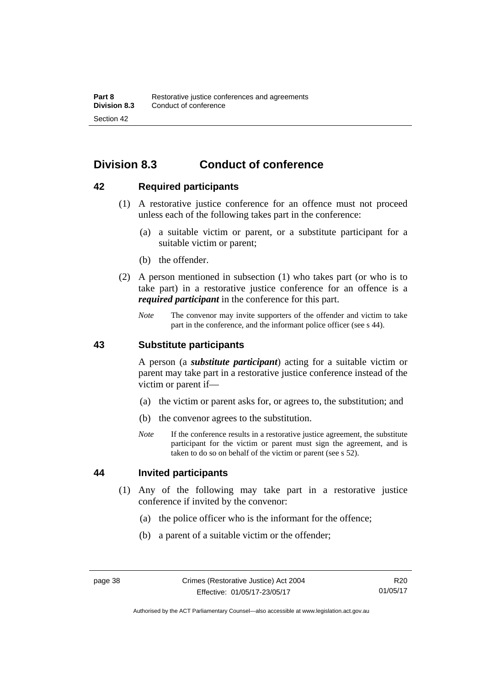# **Division 8.3 Conduct of conference**

## **42 Required participants**

- (1) A restorative justice conference for an offence must not proceed unless each of the following takes part in the conference:
	- (a) a suitable victim or parent, or a substitute participant for a suitable victim or parent;
	- (b) the offender.
- (2) A person mentioned in subsection (1) who takes part (or who is to take part) in a restorative justice conference for an offence is a *required participant* in the conference for this part.
	- *Note* The convenor may invite supporters of the offender and victim to take part in the conference, and the informant police officer (see s 44).

## **43 Substitute participants**

A person (a *substitute participant*) acting for a suitable victim or parent may take part in a restorative justice conference instead of the victim or parent if—

- (a) the victim or parent asks for, or agrees to, the substitution; and
- (b) the convenor agrees to the substitution.
- *Note* If the conference results in a restorative justice agreement, the substitute participant for the victim or parent must sign the agreement, and is taken to do so on behalf of the victim or parent (see s 52).

## **44 Invited participants**

- (1) Any of the following may take part in a restorative justice conference if invited by the convenor:
	- (a) the police officer who is the informant for the offence;
	- (b) a parent of a suitable victim or the offender;

Authorised by the ACT Parliamentary Counsel—also accessible at www.legislation.act.gov.au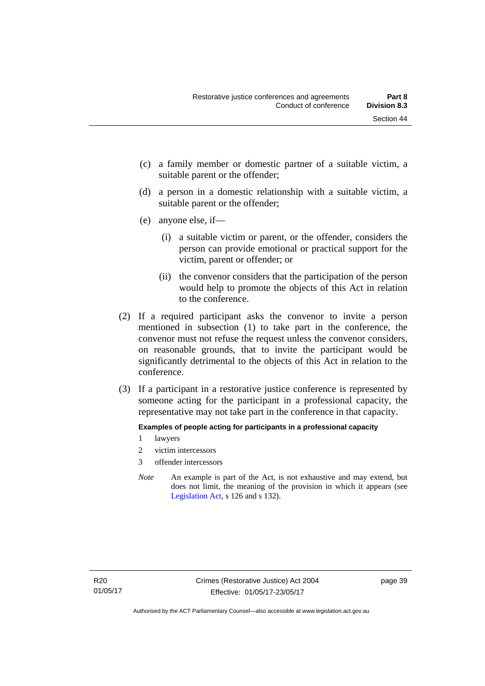- (c) a family member or domestic partner of a suitable victim, a suitable parent or the offender;
- (d) a person in a domestic relationship with a suitable victim, a suitable parent or the offender;
- (e) anyone else, if—
	- (i) a suitable victim or parent, or the offender, considers the person can provide emotional or practical support for the victim, parent or offender; or
	- (ii) the convenor considers that the participation of the person would help to promote the objects of this Act in relation to the conference.
- (2) If a required participant asks the convenor to invite a person mentioned in subsection (1) to take part in the conference, the convenor must not refuse the request unless the convenor considers, on reasonable grounds, that to invite the participant would be significantly detrimental to the objects of this Act in relation to the conference.
- (3) If a participant in a restorative justice conference is represented by someone acting for the participant in a professional capacity, the representative may not take part in the conference in that capacity.

### **Examples of people acting for participants in a professional capacity**

- 1 lawyers
- 2 victim intercessors
- 3 offender intercessors
- *Note* An example is part of the Act, is not exhaustive and may extend, but does not limit, the meaning of the provision in which it appears (see [Legislation Act,](http://www.legislation.act.gov.au/a/2001-14) s 126 and s 132).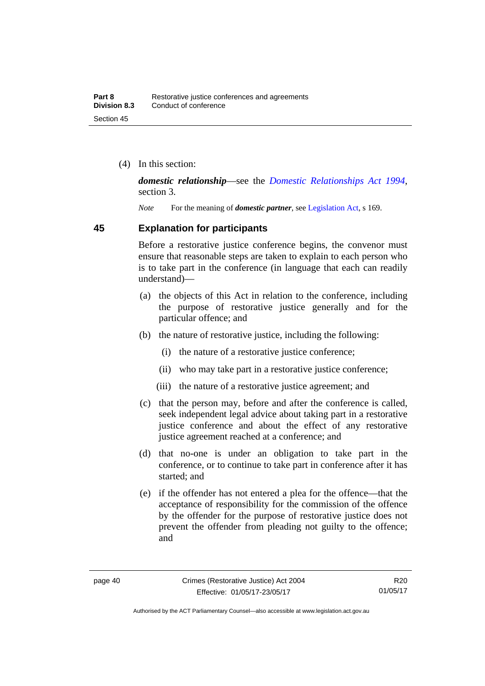(4) In this section:

*domestic relationship*—see the *[Domestic Relationships Act 1994](http://www.legislation.act.gov.au/a/1994-28)*, section 3.

*Note* For the meaning of *domestic partner*, see [Legislation Act](http://www.legislation.act.gov.au/a/2001-14), s 169.

## **45 Explanation for participants**

Before a restorative justice conference begins, the convenor must ensure that reasonable steps are taken to explain to each person who is to take part in the conference (in language that each can readily understand)—

- (a) the objects of this Act in relation to the conference, including the purpose of restorative justice generally and for the particular offence; and
- (b) the nature of restorative justice, including the following:
	- (i) the nature of a restorative justice conference;
	- (ii) who may take part in a restorative justice conference;
	- (iii) the nature of a restorative justice agreement; and
- (c) that the person may, before and after the conference is called, seek independent legal advice about taking part in a restorative justice conference and about the effect of any restorative justice agreement reached at a conference; and
- (d) that no-one is under an obligation to take part in the conference, or to continue to take part in conference after it has started; and
- (e) if the offender has not entered a plea for the offence—that the acceptance of responsibility for the commission of the offence by the offender for the purpose of restorative justice does not prevent the offender from pleading not guilty to the offence; and

Authorised by the ACT Parliamentary Counsel—also accessible at www.legislation.act.gov.au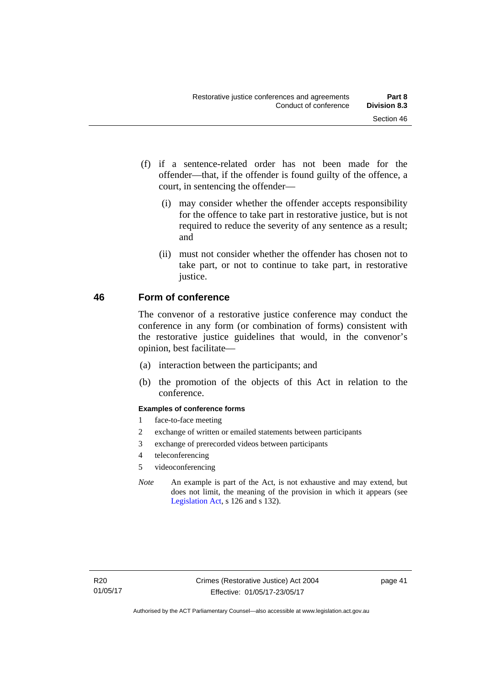- (f) if a sentence-related order has not been made for the offender—that, if the offender is found guilty of the offence, a court, in sentencing the offender—
	- (i) may consider whether the offender accepts responsibility for the offence to take part in restorative justice, but is not required to reduce the severity of any sentence as a result; and
	- (ii) must not consider whether the offender has chosen not to take part, or not to continue to take part, in restorative justice.

## **46 Form of conference**

The convenor of a restorative justice conference may conduct the conference in any form (or combination of forms) consistent with the restorative justice guidelines that would, in the convenor's opinion, best facilitate—

- (a) interaction between the participants; and
- (b) the promotion of the objects of this Act in relation to the conference.

### **Examples of conference forms**

- 1 face-to-face meeting
- 2 exchange of written or emailed statements between participants
- 3 exchange of prerecorded videos between participants
- 4 teleconferencing
- 5 videoconferencing
- *Note* An example is part of the Act, is not exhaustive and may extend, but does not limit, the meaning of the provision in which it appears (see [Legislation Act,](http://www.legislation.act.gov.au/a/2001-14) s 126 and s 132).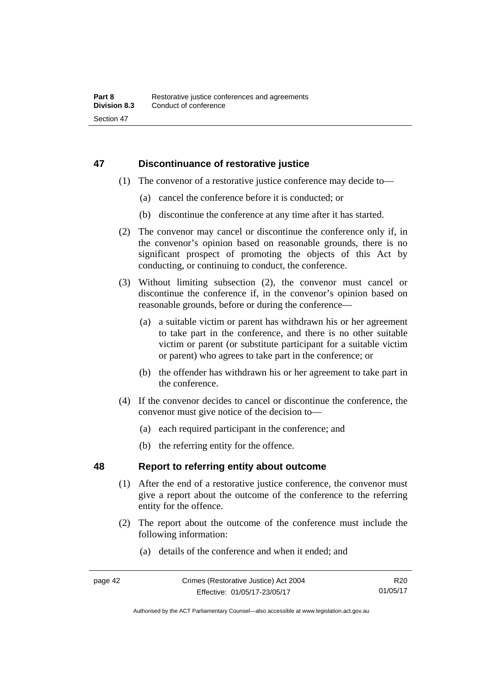## **47 Discontinuance of restorative justice**

- (1) The convenor of a restorative justice conference may decide to—
	- (a) cancel the conference before it is conducted; or
	- (b) discontinue the conference at any time after it has started.
- (2) The convenor may cancel or discontinue the conference only if, in the convenor's opinion based on reasonable grounds, there is no significant prospect of promoting the objects of this Act by conducting, or continuing to conduct, the conference.
- (3) Without limiting subsection (2), the convenor must cancel or discontinue the conference if, in the convenor's opinion based on reasonable grounds, before or during the conference—
	- (a) a suitable victim or parent has withdrawn his or her agreement to take part in the conference, and there is no other suitable victim or parent (or substitute participant for a suitable victim or parent) who agrees to take part in the conference; or
	- (b) the offender has withdrawn his or her agreement to take part in the conference.
- (4) If the convenor decides to cancel or discontinue the conference, the convenor must give notice of the decision to—
	- (a) each required participant in the conference; and
	- (b) the referring entity for the offence.

## **48 Report to referring entity about outcome**

- (1) After the end of a restorative justice conference, the convenor must give a report about the outcome of the conference to the referring entity for the offence.
- (2) The report about the outcome of the conference must include the following information:
	- (a) details of the conference and when it ended; and

R20 01/05/17

Authorised by the ACT Parliamentary Counsel—also accessible at www.legislation.act.gov.au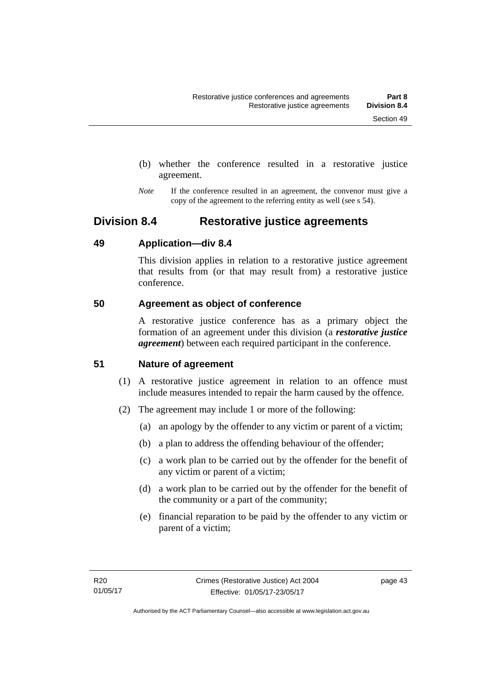- (b) whether the conference resulted in a restorative justice agreement.
- *Note* If the conference resulted in an agreement, the convenor must give a copy of the agreement to the referring entity as well (see s 54).

## **Division 8.4 Restorative justice agreements**

## **49 Application—div 8.4**

This division applies in relation to a restorative justice agreement that results from (or that may result from) a restorative justice conference.

## **50 Agreement as object of conference**

A restorative justice conference has as a primary object the formation of an agreement under this division (a *restorative justice agreement*) between each required participant in the conference.

## **51 Nature of agreement**

- (1) A restorative justice agreement in relation to an offence must include measures intended to repair the harm caused by the offence.
- (2) The agreement may include 1 or more of the following:
	- (a) an apology by the offender to any victim or parent of a victim;
	- (b) a plan to address the offending behaviour of the offender;
	- (c) a work plan to be carried out by the offender for the benefit of any victim or parent of a victim;
	- (d) a work plan to be carried out by the offender for the benefit of the community or a part of the community;
	- (e) financial reparation to be paid by the offender to any victim or parent of a victim;

page 43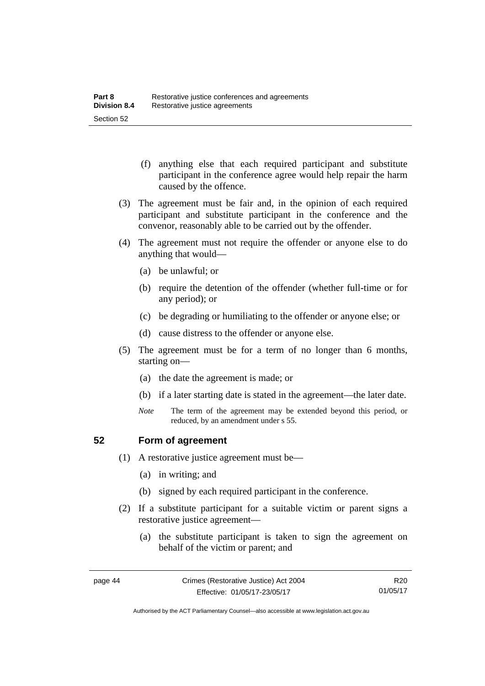- (f) anything else that each required participant and substitute participant in the conference agree would help repair the harm caused by the offence.
- (3) The agreement must be fair and, in the opinion of each required participant and substitute participant in the conference and the convenor, reasonably able to be carried out by the offender.
- (4) The agreement must not require the offender or anyone else to do anything that would—
	- (a) be unlawful; or
	- (b) require the detention of the offender (whether full-time or for any period); or
	- (c) be degrading or humiliating to the offender or anyone else; or
	- (d) cause distress to the offender or anyone else.
- (5) The agreement must be for a term of no longer than 6 months, starting on—
	- (a) the date the agreement is made; or
	- (b) if a later starting date is stated in the agreement—the later date.
	- *Note* The term of the agreement may be extended beyond this period, or reduced, by an amendment under s 55.

## **52 Form of agreement**

- (1) A restorative justice agreement must be—
	- (a) in writing; and
	- (b) signed by each required participant in the conference.
- (2) If a substitute participant for a suitable victim or parent signs a restorative justice agreement—
	- (a) the substitute participant is taken to sign the agreement on behalf of the victim or parent; and

Authorised by the ACT Parliamentary Counsel—also accessible at www.legislation.act.gov.au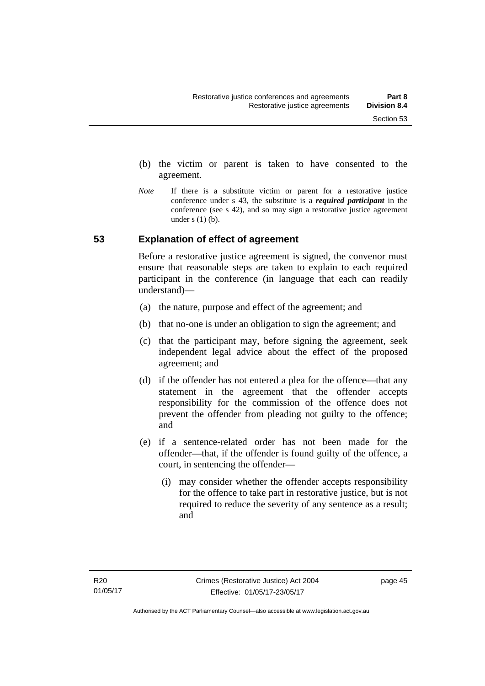- (b) the victim or parent is taken to have consented to the agreement.
- *Note* If there is a substitute victim or parent for a restorative justice conference under s 43, the substitute is a *required participant* in the conference (see s 42), and so may sign a restorative justice agreement under  $s(1)(b)$ .

## **53 Explanation of effect of agreement**

Before a restorative justice agreement is signed, the convenor must ensure that reasonable steps are taken to explain to each required participant in the conference (in language that each can readily understand)—

- (a) the nature, purpose and effect of the agreement; and
- (b) that no-one is under an obligation to sign the agreement; and
- (c) that the participant may, before signing the agreement, seek independent legal advice about the effect of the proposed agreement; and
- (d) if the offender has not entered a plea for the offence—that any statement in the agreement that the offender accepts responsibility for the commission of the offence does not prevent the offender from pleading not guilty to the offence; and
- (e) if a sentence-related order has not been made for the offender—that, if the offender is found guilty of the offence, a court, in sentencing the offender—
	- (i) may consider whether the offender accepts responsibility for the offence to take part in restorative justice, but is not required to reduce the severity of any sentence as a result: and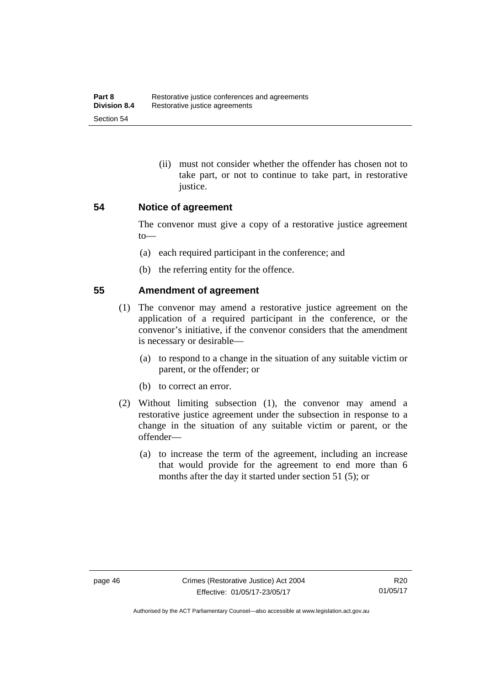(ii) must not consider whether the offender has chosen not to take part, or not to continue to take part, in restorative justice.

## **54 Notice of agreement**

The convenor must give a copy of a restorative justice agreement to—

- (a) each required participant in the conference; and
- (b) the referring entity for the offence.

## **55 Amendment of agreement**

- (1) The convenor may amend a restorative justice agreement on the application of a required participant in the conference, or the convenor's initiative, if the convenor considers that the amendment is necessary or desirable—
	- (a) to respond to a change in the situation of any suitable victim or parent, or the offender; or
	- (b) to correct an error.
- (2) Without limiting subsection (1), the convenor may amend a restorative justice agreement under the subsection in response to a change in the situation of any suitable victim or parent, or the offender—
	- (a) to increase the term of the agreement, including an increase that would provide for the agreement to end more than 6 months after the day it started under section 51 (5); or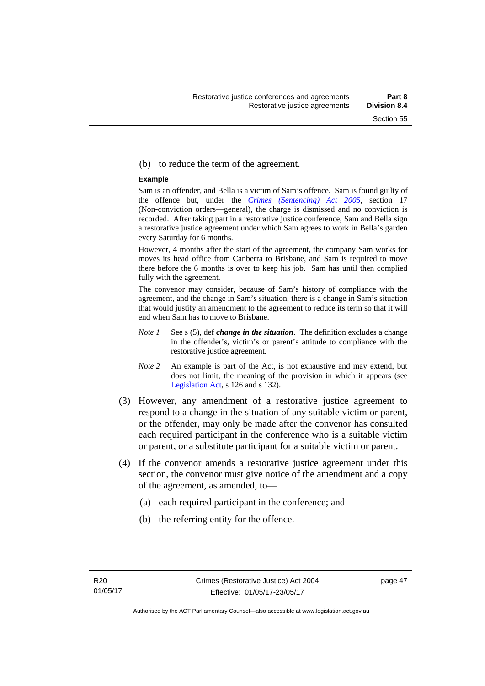#### (b) to reduce the term of the agreement.

#### **Example**

Sam is an offender, and Bella is a victim of Sam's offence. Sam is found guilty of the offence but, under the *[Crimes \(Sentencing\) Act 2005](http://www.legislation.act.gov.au/a/2005-58)*, section 17 (Non-conviction orders—general), the charge is dismissed and no conviction is recorded. After taking part in a restorative justice conference, Sam and Bella sign a restorative justice agreement under which Sam agrees to work in Bella's garden every Saturday for 6 months.

However, 4 months after the start of the agreement, the company Sam works for moves its head office from Canberra to Brisbane, and Sam is required to move there before the 6 months is over to keep his job. Sam has until then complied fully with the agreement.

The convenor may consider, because of Sam's history of compliance with the agreement, and the change in Sam's situation, there is a change in Sam's situation that would justify an amendment to the agreement to reduce its term so that it will end when Sam has to move to Brisbane.

- *Note 1* See s (5), def *change in the situation*. The definition excludes a change in the offender's, victim's or parent's attitude to compliance with the restorative justice agreement.
- *Note 2* An example is part of the Act, is not exhaustive and may extend, but does not limit, the meaning of the provision in which it appears (see [Legislation Act,](http://www.legislation.act.gov.au/a/2001-14) s 126 and s 132).
- (3) However, any amendment of a restorative justice agreement to respond to a change in the situation of any suitable victim or parent, or the offender, may only be made after the convenor has consulted each required participant in the conference who is a suitable victim or parent, or a substitute participant for a suitable victim or parent.
- (4) If the convenor amends a restorative justice agreement under this section, the convenor must give notice of the amendment and a copy of the agreement, as amended, to—
	- (a) each required participant in the conference; and
	- (b) the referring entity for the offence.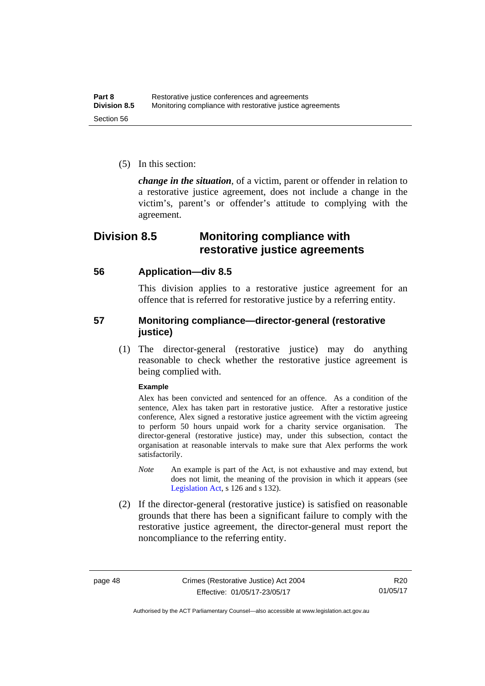(5) In this section:

*change in the situation*, of a victim, parent or offender in relation to a restorative justice agreement, does not include a change in the victim's, parent's or offender's attitude to complying with the agreement.

## **Division 8.5 Monitoring compliance with restorative justice agreements**

## **56 Application—div 8.5**

This division applies to a restorative justice agreement for an offence that is referred for restorative justice by a referring entity.

## **57 Monitoring compliance—director-general (restorative justice)**

 (1) The director-general (restorative justice) may do anything reasonable to check whether the restorative justice agreement is being complied with.

### **Example**

Alex has been convicted and sentenced for an offence. As a condition of the sentence, Alex has taken part in restorative justice. After a restorative justice conference, Alex signed a restorative justice agreement with the victim agreeing to perform 50 hours unpaid work for a charity service organisation. The director-general (restorative justice) may, under this subsection, contact the organisation at reasonable intervals to make sure that Alex performs the work satisfactorily.

- *Note* An example is part of the Act, is not exhaustive and may extend, but does not limit, the meaning of the provision in which it appears (see [Legislation Act,](http://www.legislation.act.gov.au/a/2001-14) s 126 and s 132).
- (2) If the director-general (restorative justice) is satisfied on reasonable grounds that there has been a significant failure to comply with the restorative justice agreement, the director-general must report the noncompliance to the referring entity.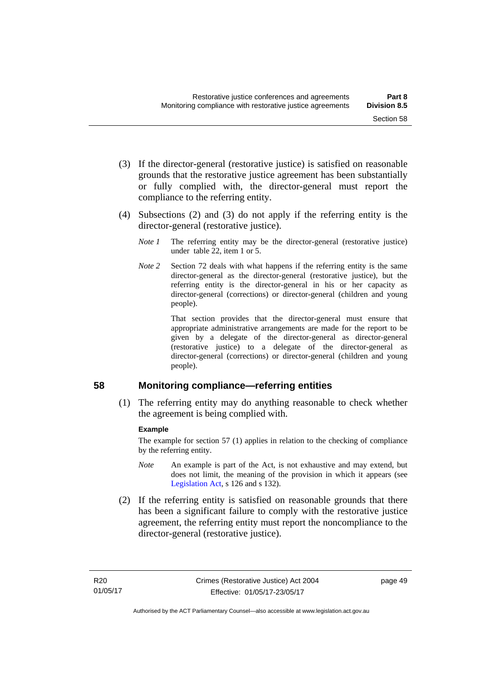- (3) If the director-general (restorative justice) is satisfied on reasonable grounds that the restorative justice agreement has been substantially or fully complied with, the director-general must report the compliance to the referring entity.
- (4) Subsections (2) and (3) do not apply if the referring entity is the director-general (restorative justice).
	- *Note 1* The referring entity may be the director-general (restorative justice) under table 22, item 1 or 5.
	- *Note 2* Section 72 deals with what happens if the referring entity is the same director-general as the director-general (restorative justice), but the referring entity is the director-general in his or her capacity as director-general (corrections) or director-general (children and young people).

 That section provides that the director-general must ensure that appropriate administrative arrangements are made for the report to be given by a delegate of the director-general as director-general (restorative justice) to a delegate of the director-general as director-general (corrections) or director-general (children and young people).

## **58 Monitoring compliance—referring entities**

 (1) The referring entity may do anything reasonable to check whether the agreement is being complied with.

### **Example**

The example for section 57 (1) applies in relation to the checking of compliance by the referring entity.

- *Note* An example is part of the Act, is not exhaustive and may extend, but does not limit, the meaning of the provision in which it appears (see [Legislation Act,](http://www.legislation.act.gov.au/a/2001-14) s 126 and s 132).
- (2) If the referring entity is satisfied on reasonable grounds that there has been a significant failure to comply with the restorative justice agreement, the referring entity must report the noncompliance to the director-general (restorative justice).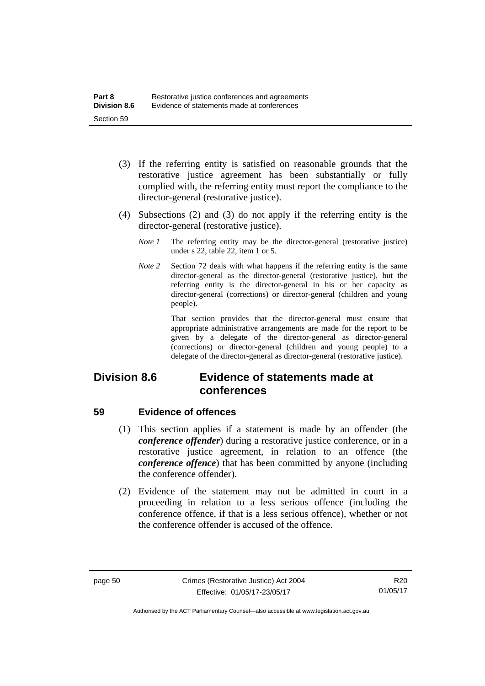- (3) If the referring entity is satisfied on reasonable grounds that the restorative justice agreement has been substantially or fully complied with, the referring entity must report the compliance to the director-general (restorative justice).
- (4) Subsections (2) and (3) do not apply if the referring entity is the director-general (restorative justice).
	- *Note 1* The referring entity may be the director-general (restorative justice) under s 22, table 22, item 1 or 5.
	- *Note 2* Section 72 deals with what happens if the referring entity is the same director-general as the director-general (restorative justice), but the referring entity is the director-general in his or her capacity as director-general (corrections) or director-general (children and young people).

 That section provides that the director-general must ensure that appropriate administrative arrangements are made for the report to be given by a delegate of the director-general as director-general (corrections) or director-general (children and young people) to a delegate of the director-general as director-general (restorative justice).

## **Division 8.6 Evidence of statements made at conferences**

## **59 Evidence of offences**

- (1) This section applies if a statement is made by an offender (the *conference offender*) during a restorative justice conference, or in a restorative justice agreement, in relation to an offence (the *conference offence*) that has been committed by anyone (including the conference offender).
- (2) Evidence of the statement may not be admitted in court in a proceeding in relation to a less serious offence (including the conference offence, if that is a less serious offence), whether or not the conference offender is accused of the offence.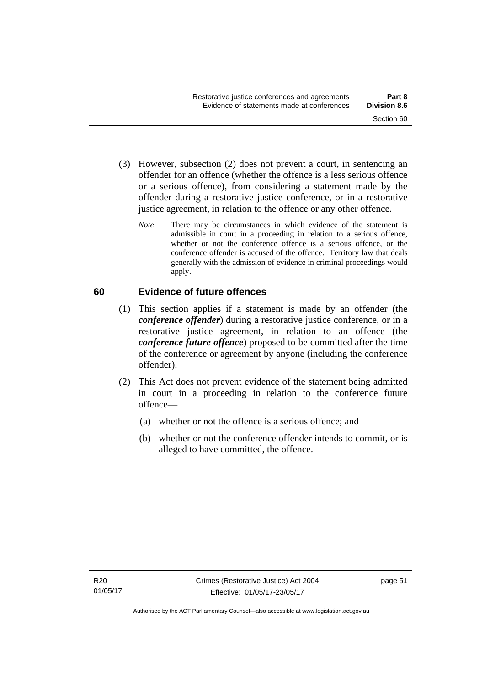- (3) However, subsection (2) does not prevent a court, in sentencing an offender for an offence (whether the offence is a less serious offence or a serious offence), from considering a statement made by the offender during a restorative justice conference, or in a restorative justice agreement, in relation to the offence or any other offence.
	- *Note* There may be circumstances in which evidence of the statement is admissible in court in a proceeding in relation to a serious offence, whether or not the conference offence is a serious offence, or the conference offender is accused of the offence. Territory law that deals generally with the admission of evidence in criminal proceedings would apply.

## **60 Evidence of future offences**

- (1) This section applies if a statement is made by an offender (the *conference offender*) during a restorative justice conference, or in a restorative justice agreement, in relation to an offence (the *conference future offence*) proposed to be committed after the time of the conference or agreement by anyone (including the conference offender).
- (2) This Act does not prevent evidence of the statement being admitted in court in a proceeding in relation to the conference future offence—
	- (a) whether or not the offence is a serious offence; and
	- (b) whether or not the conference offender intends to commit, or is alleged to have committed, the offence.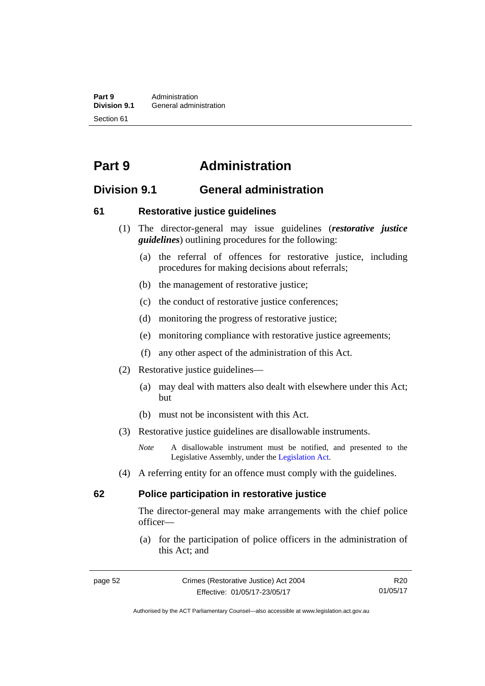**Part 9 Administration**<br>**Division 9.1 General adminity General administration** Section 61

# **Part 9 Administration**

## **Division 9.1 General administration**

## **61 Restorative justice guidelines**

- (1) The director-general may issue guidelines (*restorative justice guidelines*) outlining procedures for the following:
	- (a) the referral of offences for restorative justice, including procedures for making decisions about referrals;
	- (b) the management of restorative justice;
	- (c) the conduct of restorative justice conferences;
	- (d) monitoring the progress of restorative justice;
	- (e) monitoring compliance with restorative justice agreements;
	- (f) any other aspect of the administration of this Act.
- (2) Restorative justice guidelines—
	- (a) may deal with matters also dealt with elsewhere under this Act; but
	- (b) must not be inconsistent with this Act.
- (3) Restorative justice guidelines are disallowable instruments.

*Note* A disallowable instrument must be notified, and presented to the Legislative Assembly, under the [Legislation Act.](http://www.legislation.act.gov.au/a/2001-14)

(4) A referring entity for an offence must comply with the guidelines.

## **62 Police participation in restorative justice**

The director-general may make arrangements with the chief police officer—

 (a) for the participation of police officers in the administration of this Act; and

R20 01/05/17

Authorised by the ACT Parliamentary Counsel—also accessible at www.legislation.act.gov.au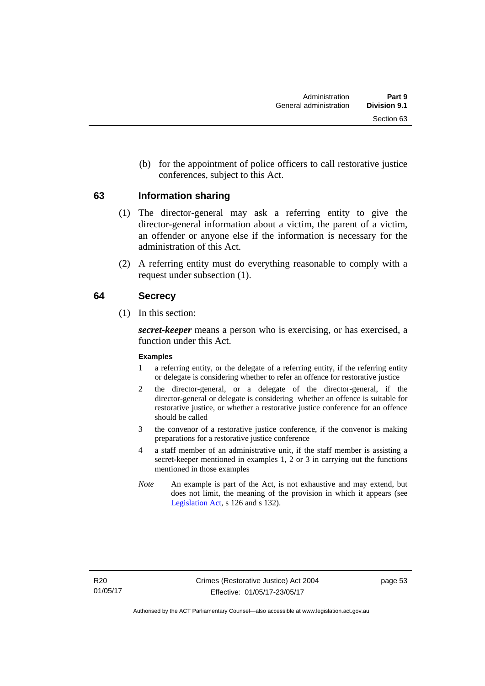(b) for the appointment of police officers to call restorative justice conferences, subject to this Act.

## **63 Information sharing**

- (1) The director-general may ask a referring entity to give the director-general information about a victim, the parent of a victim, an offender or anyone else if the information is necessary for the administration of this Act.
- (2) A referring entity must do everything reasonable to comply with a request under subsection (1).

## **64 Secrecy**

(1) In this section:

*secret-keeper* means a person who is exercising, or has exercised, a function under this Act.

### **Examples**

- 1 a referring entity, or the delegate of a referring entity, if the referring entity or delegate is considering whether to refer an offence for restorative justice
- 2 the director-general, or a delegate of the director-general, if the director-general or delegate is considering whether an offence is suitable for restorative justice, or whether a restorative justice conference for an offence should be called
- 3 the convenor of a restorative justice conference, if the convenor is making preparations for a restorative justice conference
- 4 a staff member of an administrative unit, if the staff member is assisting a secret-keeper mentioned in examples 1, 2 or 3 in carrying out the functions mentioned in those examples
- *Note* An example is part of the Act, is not exhaustive and may extend, but does not limit, the meaning of the provision in which it appears (see [Legislation Act,](http://www.legislation.act.gov.au/a/2001-14) s 126 and s 132).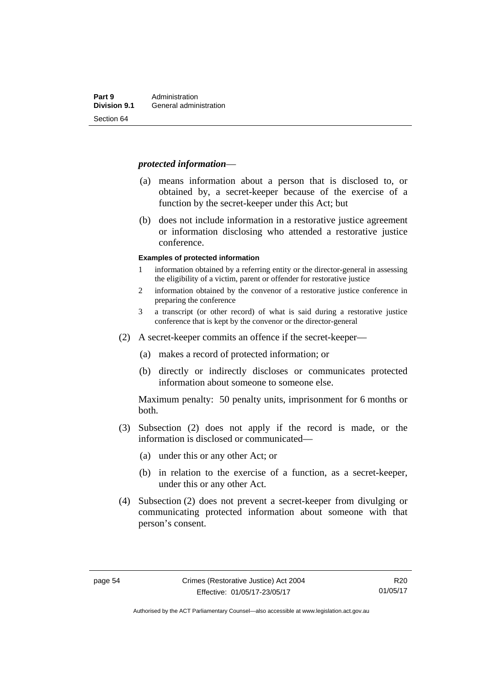### *protected information*—

- (a) means information about a person that is disclosed to, or obtained by, a secret-keeper because of the exercise of a function by the secret-keeper under this Act; but
- (b) does not include information in a restorative justice agreement or information disclosing who attended a restorative justice conference.

#### **Examples of protected information**

- 1 information obtained by a referring entity or the director-general in assessing the eligibility of a victim, parent or offender for restorative justice
- 2 information obtained by the convenor of a restorative justice conference in preparing the conference
- 3 a transcript (or other record) of what is said during a restorative justice conference that is kept by the convenor or the director-general
- (2) A secret-keeper commits an offence if the secret-keeper—
	- (a) makes a record of protected information; or
	- (b) directly or indirectly discloses or communicates protected information about someone to someone else.

Maximum penalty: 50 penalty units, imprisonment for 6 months or both.

- (3) Subsection (2) does not apply if the record is made, or the information is disclosed or communicated—
	- (a) under this or any other Act; or
	- (b) in relation to the exercise of a function, as a secret-keeper, under this or any other Act.
- (4) Subsection (2) does not prevent a secret-keeper from divulging or communicating protected information about someone with that person's consent.

R20 01/05/17

Authorised by the ACT Parliamentary Counsel—also accessible at www.legislation.act.gov.au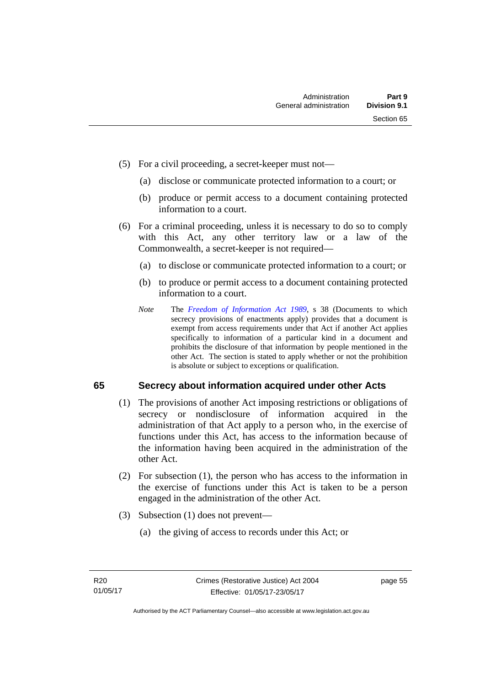- (5) For a civil proceeding, a secret-keeper must not—
	- (a) disclose or communicate protected information to a court; or
	- (b) produce or permit access to a document containing protected information to a court.
- (6) For a criminal proceeding, unless it is necessary to do so to comply with this Act, any other territory law or a law of the Commonwealth, a secret-keeper is not required—
	- (a) to disclose or communicate protected information to a court; or
	- (b) to produce or permit access to a document containing protected information to a court.
	- *Note* The *[Freedom of Information Act 1989](http://www.legislation.act.gov.au/a/alt_a1989-46co)*, s 38 (Documents to which secrecy provisions of enactments apply) provides that a document is exempt from access requirements under that Act if another Act applies specifically to information of a particular kind in a document and prohibits the disclosure of that information by people mentioned in the other Act. The section is stated to apply whether or not the prohibition is absolute or subject to exceptions or qualification.

## **65 Secrecy about information acquired under other Acts**

- (1) The provisions of another Act imposing restrictions or obligations of secrecy or nondisclosure of information acquired in the administration of that Act apply to a person who, in the exercise of functions under this Act, has access to the information because of the information having been acquired in the administration of the other Act.
- (2) For subsection (1), the person who has access to the information in the exercise of functions under this Act is taken to be a person engaged in the administration of the other Act.
- (3) Subsection (1) does not prevent—
	- (a) the giving of access to records under this Act; or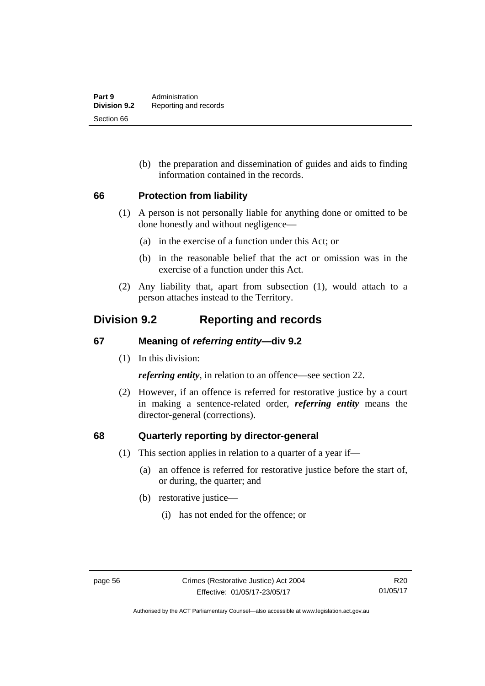(b) the preparation and dissemination of guides and aids to finding information contained in the records.

## **66 Protection from liability**

- (1) A person is not personally liable for anything done or omitted to be done honestly and without negligence—
	- (a) in the exercise of a function under this Act; or
	- (b) in the reasonable belief that the act or omission was in the exercise of a function under this Act.
- (2) Any liability that, apart from subsection (1), would attach to a person attaches instead to the Territory.

## **Division 9.2 Reporting and records**

## **67 Meaning of** *referring entity—***div 9.2**

(1) In this division:

*referring entity*, in relation to an offence—see section 22.

 (2) However, if an offence is referred for restorative justice by a court in making a sentence-related order, *referring entity* means the director-general (corrections).

## **68 Quarterly reporting by director-general**

- (1) This section applies in relation to a quarter of a year if—
	- (a) an offence is referred for restorative justice before the start of, or during, the quarter; and
	- (b) restorative justice—
		- (i) has not ended for the offence; or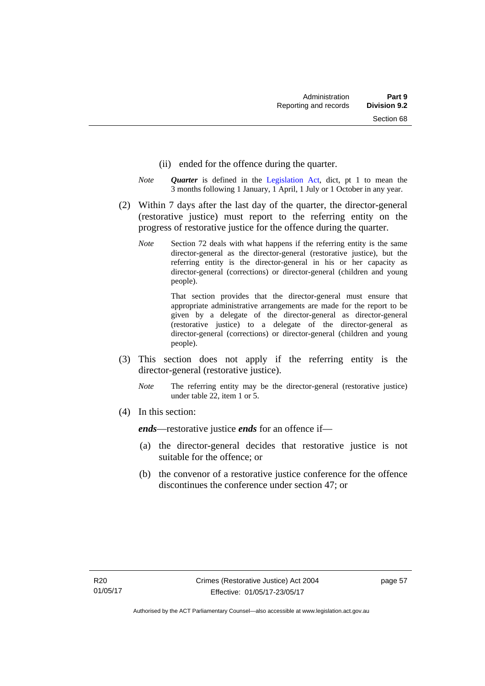- (ii) ended for the offence during the quarter.
- *Note Quarter* is defined in the [Legislation Act](http://www.legislation.act.gov.au/a/2001-14), dict, pt 1 to mean the 3 months following 1 January, 1 April, 1 July or 1 October in any year.
- (2) Within 7 days after the last day of the quarter, the director-general (restorative justice) must report to the referring entity on the progress of restorative justice for the offence during the quarter.
	- *Note* Section 72 deals with what happens if the referring entity is the same director-general as the director-general (restorative justice), but the referring entity is the director-general in his or her capacity as director-general (corrections) or director-general (children and young people).

 That section provides that the director-general must ensure that appropriate administrative arrangements are made for the report to be given by a delegate of the director-general as director-general (restorative justice) to a delegate of the director-general as director-general (corrections) or director-general (children and young people).

- (3) This section does not apply if the referring entity is the director-general (restorative justice).
	- *Note* The referring entity may be the director-general (restorative justice) under table 22, item 1 or 5.
- (4) In this section:

*ends*—restorative justice *ends* for an offence if—

- (a) the director-general decides that restorative justice is not suitable for the offence; or
- (b) the convenor of a restorative justice conference for the offence discontinues the conference under section 47; or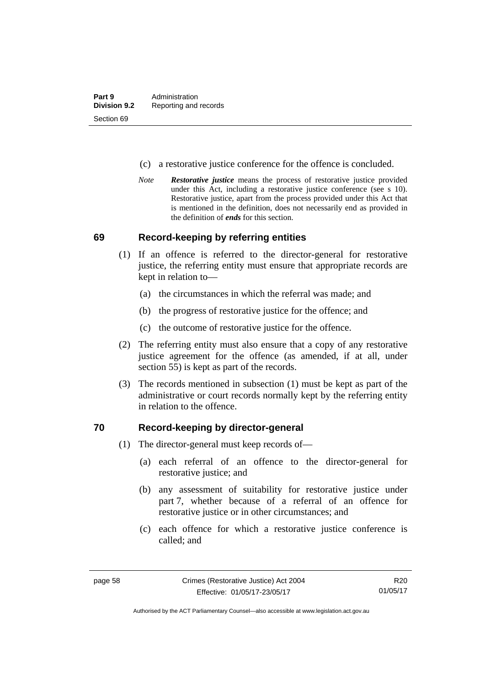- (c) a restorative justice conference for the offence is concluded.
- *Note Restorative justice* means the process of restorative justice provided under this Act, including a restorative justice conference (see s 10). Restorative justice, apart from the process provided under this Act that is mentioned in the definition, does not necessarily end as provided in the definition of *ends* for this section.

### **69 Record-keeping by referring entities**

- (1) If an offence is referred to the director-general for restorative justice, the referring entity must ensure that appropriate records are kept in relation to—
	- (a) the circumstances in which the referral was made; and
	- (b) the progress of restorative justice for the offence; and
	- (c) the outcome of restorative justice for the offence.
- (2) The referring entity must also ensure that a copy of any restorative justice agreement for the offence (as amended, if at all, under section 55) is kept as part of the records.
- (3) The records mentioned in subsection (1) must be kept as part of the administrative or court records normally kept by the referring entity in relation to the offence.

### **70 Record-keeping by director-general**

- (1) The director-general must keep records of—
	- (a) each referral of an offence to the director-general for restorative justice; and
	- (b) any assessment of suitability for restorative justice under part 7, whether because of a referral of an offence for restorative justice or in other circumstances; and
	- (c) each offence for which a restorative justice conference is called; and

R20 01/05/17

Authorised by the ACT Parliamentary Counsel—also accessible at www.legislation.act.gov.au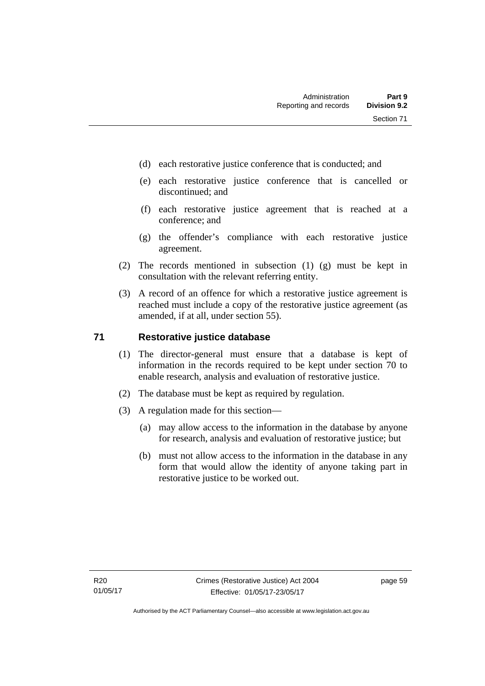- (d) each restorative justice conference that is conducted; and
- (e) each restorative justice conference that is cancelled or discontinued; and
- (f) each restorative justice agreement that is reached at a conference; and
- (g) the offender's compliance with each restorative justice agreement.
- (2) The records mentioned in subsection (1) (g) must be kept in consultation with the relevant referring entity.
- (3) A record of an offence for which a restorative justice agreement is reached must include a copy of the restorative justice agreement (as amended, if at all, under section 55).

## **71 Restorative justice database**

- (1) The director-general must ensure that a database is kept of information in the records required to be kept under section 70 to enable research, analysis and evaluation of restorative justice.
- (2) The database must be kept as required by regulation.
- (3) A regulation made for this section—
	- (a) may allow access to the information in the database by anyone for research, analysis and evaluation of restorative justice; but
	- (b) must not allow access to the information in the database in any form that would allow the identity of anyone taking part in restorative justice to be worked out.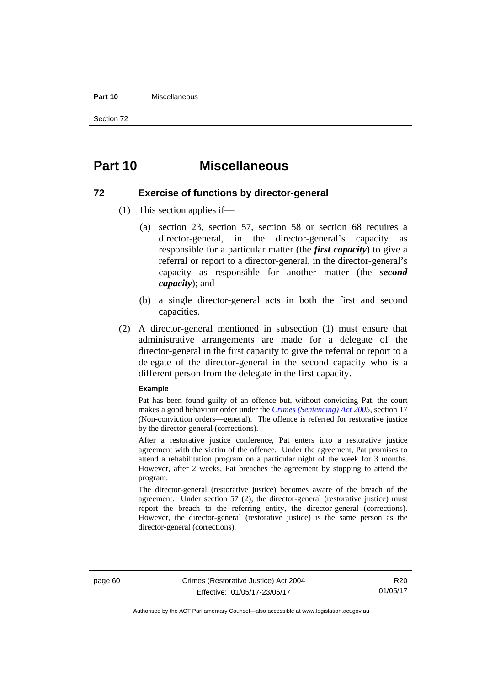#### **Part 10** Miscellaneous

Section 72

## **Part 10 Miscellaneous**

### **72 Exercise of functions by director-general**

- (1) This section applies if—
	- (a) section 23, section 57, section 58 or section 68 requires a director-general, in the director-general's capacity as responsible for a particular matter (the *first capacity*) to give a referral or report to a director-general, in the director-general's capacity as responsible for another matter (the *second capacity*); and
	- (b) a single director-general acts in both the first and second capacities.
- (2) A director-general mentioned in subsection (1) must ensure that administrative arrangements are made for a delegate of the director-general in the first capacity to give the referral or report to a delegate of the director-general in the second capacity who is a different person from the delegate in the first capacity.

#### **Example**

Pat has been found guilty of an offence but, without convicting Pat, the court makes a good behaviour order under the *[Crimes \(Sentencing\) Act 2005](http://www.legislation.act.gov.au/a/2005-58)*, section 17 (Non-conviction orders—general). The offence is referred for restorative justice by the director-general (corrections).

After a restorative justice conference, Pat enters into a restorative justice agreement with the victim of the offence. Under the agreement, Pat promises to attend a rehabilitation program on a particular night of the week for 3 months. However, after 2 weeks, Pat breaches the agreement by stopping to attend the program.

The director-general (restorative justice) becomes aware of the breach of the agreement. Under section 57 (2), the director-general (restorative justice) must report the breach to the referring entity, the director-general (corrections). However, the director-general (restorative justice) is the same person as the director-general (corrections).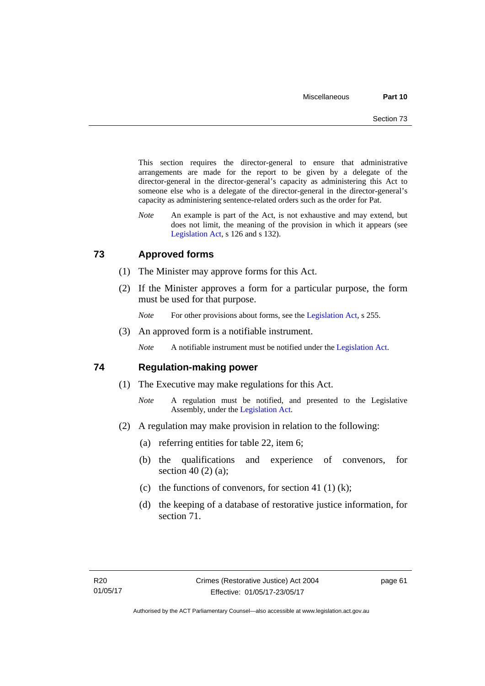This section requires the director-general to ensure that administrative arrangements are made for the report to be given by a delegate of the director-general in the director-general's capacity as administering this Act to someone else who is a delegate of the director-general in the director-general's capacity as administering sentence-related orders such as the order for Pat.

*Note* An example is part of the Act, is not exhaustive and may extend, but does not limit, the meaning of the provision in which it appears (see [Legislation Act,](http://www.legislation.act.gov.au/a/2001-14) s 126 and s 132).

## **73 Approved forms**

- (1) The Minister may approve forms for this Act.
- (2) If the Minister approves a form for a particular purpose, the form must be used for that purpose.

*Note* For other provisions about forms, see the [Legislation Act,](http://www.legislation.act.gov.au/a/2001-14) s 255.

(3) An approved form is a notifiable instrument.

*Note* A notifiable instrument must be notified under the [Legislation Act](http://www.legislation.act.gov.au/a/2001-14).

### **74 Regulation-making power**

- (1) The Executive may make regulations for this Act.
	- *Note* A regulation must be notified, and presented to the Legislative Assembly, under the [Legislation Act](http://www.legislation.act.gov.au/a/2001-14).
- (2) A regulation may make provision in relation to the following:
	- (a) referring entities for table 22, item 6;
	- (b) the qualifications and experience of convenors, for section 40 (2) (a);
	- (c) the functions of convenors, for section 41 (1) (k);
	- (d) the keeping of a database of restorative justice information, for section 71.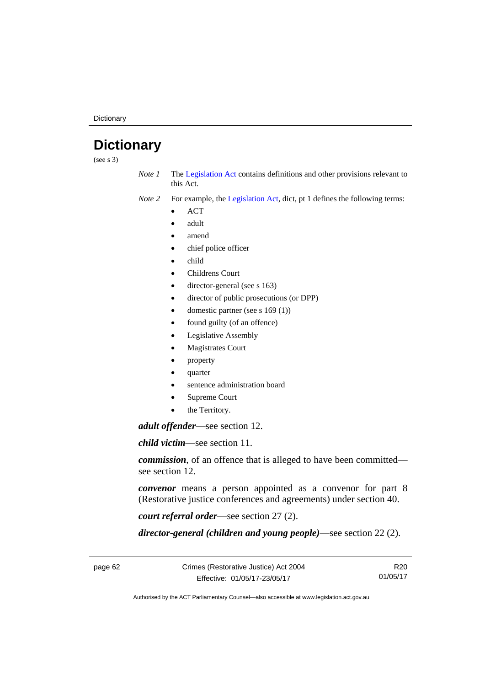**Dictionary** 

# **Dictionary**

(see s 3)

*Note 1* The [Legislation Act](http://www.legislation.act.gov.au/a/2001-14) contains definitions and other provisions relevant to this Act.

*Note 2* For example, the [Legislation Act,](http://www.legislation.act.gov.au/a/2001-14) dict, pt 1 defines the following terms:

- **ACT**
- adult
- amend
- chief police officer
- child
- Childrens Court
- director-general (see s 163)
- director of public prosecutions (or DPP)
- domestic partner (see s 169 (1))
- found guilty (of an offence)
- Legislative Assembly
- Magistrates Court
- property
- quarter
- sentence administration board
- Supreme Court
- the Territory.

*adult offender*—see section 12.

*child victim*—see section 11.

*commission*, of an offence that is alleged to have been committed see section 12.

*convenor* means a person appointed as a convenor for part 8 (Restorative justice conferences and agreements) under section 40.

*court referral order*—see section 27 (2).

*director-general (children and young people)*—see section 22 (2).

R20 01/05/17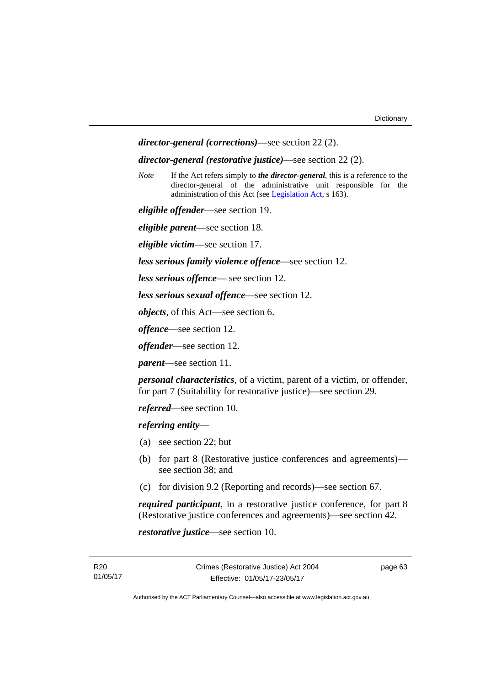```
director-general (corrections)—see section 22 (2).
```
#### *director-general (restorative justice)*—see section 22 (2).

*Note* If the Act refers simply to *the director-general*, this is a reference to the director-general of the administrative unit responsible for the administration of this Act (see [Legislation Act,](http://www.legislation.act.gov.au/a/2001-14) s 163).

*eligible offender*—see section 19.

*eligible parent*—see section 18.

*eligible victim*—see section 17.

*less serious family violence offence*—see section 12.

*less serious offence*— see section 12.

*less serious sexual offence*—see section 12.

*objects*, of this Act—see section 6.

*offence*—see section 12.

*offender*—see section 12.

*parent*—see section 11.

*personal characteristics*, of a victim, parent of a victim, or offender, for part 7 (Suitability for restorative justice)—see section 29.

*referred*—see section 10.

*referring entity*—

- (a) see section 22; but
- (b) for part 8 (Restorative justice conferences and agreements) see section 38; and
- (c) for division 9.2 (Reporting and records)—see section 67.

*required participant*, in a restorative justice conference, for part 8 (Restorative justice conferences and agreements)—see section 42.

*restorative justice*—see section 10.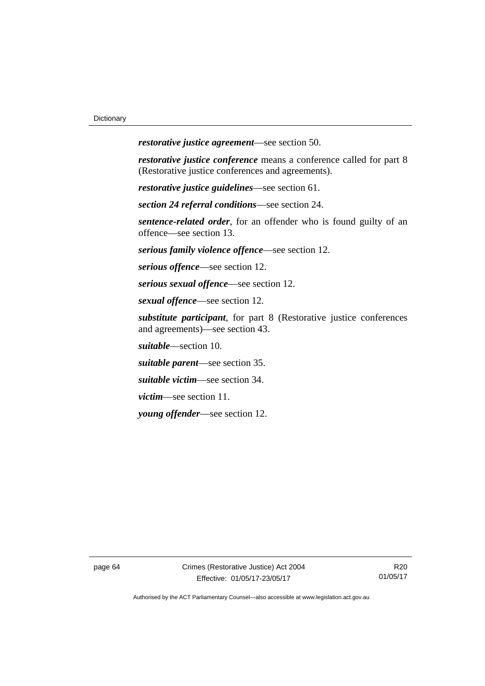*restorative justice agreement*—see section 50.

*restorative justice conference* means a conference called for part 8 (Restorative justice conferences and agreements).

*restorative justice guidelines*—see section 61.

*section 24 referral conditions*—see section 24.

*sentence-related order*, for an offender who is found guilty of an offence—see section 13.

*serious family violence offence*—see section 12.

*serious offence*—see section 12.

*serious sexual offence*—see section 12.

*sexual offence*—see section 12.

*substitute participant*, for part 8 (Restorative justice conferences and agreements)—see section 43.

*suitable*—section 10.

*suitable parent*—see section 35.

*suitable victim*—see section 34.

*victim*—see section 11.

*young offender*—see section 12.

page 64 Crimes (Restorative Justice) Act 2004 Effective: 01/05/17-23/05/17

R20 01/05/17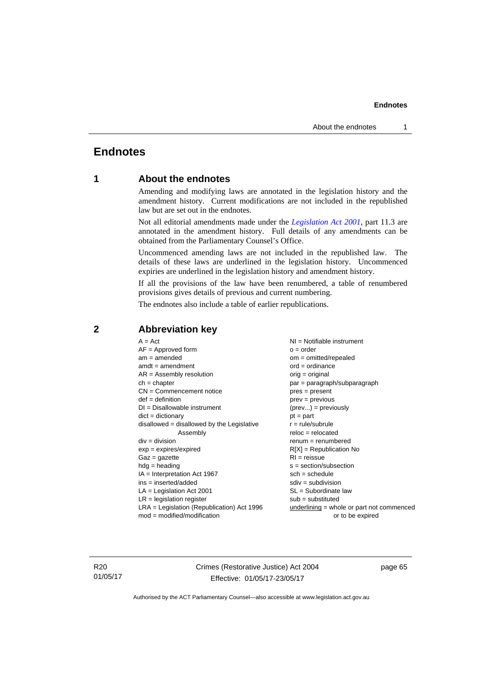#### **Endnotes**

## **Endnotes**

## **1 About the endnotes**

Amending and modifying laws are annotated in the legislation history and the amendment history. Current modifications are not included in the republished law but are set out in the endnotes.

Not all editorial amendments made under the *[Legislation Act 2001](http://www.legislation.act.gov.au/a/2001-14)*, part 11.3 are annotated in the amendment history. Full details of any amendments can be obtained from the Parliamentary Counsel's Office.

Uncommenced amending laws are not included in the republished law. The details of these laws are underlined in the legislation history. Uncommenced expiries are underlined in the legislation history and amendment history.

If all the provisions of the law have been renumbered, a table of renumbered provisions gives details of previous and current numbering.

The endnotes also include a table of earlier republications.

| $AF =$ Approved form                         | $o = order$                                 |
|----------------------------------------------|---------------------------------------------|
| $am = amended$                               | om = omitted/repealed                       |
| $amdt = amendment$                           | $ord = ordinance$                           |
| $AR = Assembly resolution$                   | $orig = original$                           |
| $ch = chapter$                               | par = paragraph/subparagraph                |
| $CN =$ Commencement notice                   | $pres = present$                            |
| $def = definition$                           | $prev = previous$                           |
| $DI = Disallowable instrument$               | $(\text{prev}) = \text{previously}$         |
| $dict = dictionary$                          | $pt = part$                                 |
| $disallowed = disallowed by the Legislative$ | $r = rule/subrule$                          |
| Assembly                                     | $reloc = relocated$                         |
| $div = division$                             | $renum = renumbered$                        |
| $exp = expires/expired$                      | $R[X]$ = Republication No                   |
| $Gaz = gazette$                              | $RI = reissue$                              |
| $hdg = heading$                              | $s = section/subsection$                    |
| $IA = Interpretation Act 1967$               | $sch = schedule$                            |
| ins = inserted/added                         | $sdiv = subdivision$                        |
| $LA =$ Legislation Act 2001                  | $SL = Subordinate$ law                      |
| $LR =$ legislation register                  | $sub =$ substituted                         |
| LRA = Legislation (Republication) Act 1996   | underlining $=$ whole or part not commenced |
| $mod = modified/modification$                | or to be expired                            |

### **2 Abbreviation key**

R20 01/05/17 Crimes (Restorative Justice) Act 2004 Effective: 01/05/17-23/05/17

page 65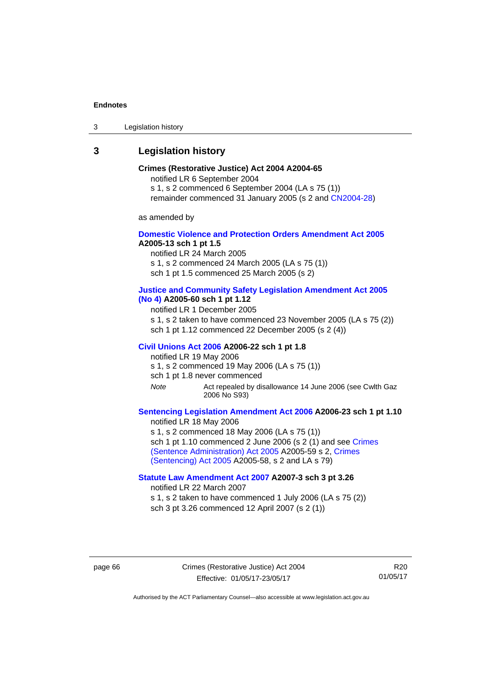#### **Endnotes**

3 Legislation history

## **3 Legislation history**

### **Crimes (Restorative Justice) Act 2004 A2004-65**

notified LR 6 September 2004

s 1, s 2 commenced 6 September 2004 (LA s 75 (1))

remainder commenced 31 January 2005 (s 2 and [CN2004-28\)](http://www.legislation.act.gov.au/cn/2004-28/default.asp)

as amended by

#### **[Domestic Violence and Protection Orders Amendment Act 2005](http://www.legislation.act.gov.au/a/2005-13) A2005-13 sch 1 pt 1.5**

notified LR 24 March 2005

s 1, s 2 commenced 24 March 2005 (LA s 75 (1))

sch 1 pt 1.5 commenced 25 March 2005 (s 2)

### **[Justice and Community Safety Legislation Amendment Act 2005](http://www.legislation.act.gov.au/a/2005-60)**

**[\(No 4\)](http://www.legislation.act.gov.au/a/2005-60) A2005-60 sch 1 pt 1.12** 

notified LR 1 December 2005

s 1, s 2 taken to have commenced 23 November 2005 (LA s 75 (2)) sch 1 pt 1.12 commenced 22 December 2005 (s 2 (4))

#### **[Civil Unions Act 2006](http://www.legislation.act.gov.au/a/2006-22) A2006-22 sch 1 pt 1.8**

notified LR 19 May 2006 s 1, s 2 commenced 19 May 2006 (LA s 75 (1))

sch 1 pt 1.8 never commenced

*Note* Act repealed by disallowance 14 June 2006 (see Cwlth Gaz 2006 No S93)

### **[Sentencing Legislation Amendment Act 2006](http://www.legislation.act.gov.au/a/2006-23) A2006-23 sch 1 pt 1.10**

notified LR 18 May 2006 s 1, s 2 commenced 18 May 2006 (LA s 75 (1)) sch 1 pt 1.10 commenced 2 June 2006 (s 2 (1) and see Crimes [\(Sentence Administration\) Act 2005](http://www.legislation.act.gov.au/a/2005-59) A2005-59 s 2, [Crimes](http://www.legislation.act.gov.au/a/2005-58)  [\(Sentencing\) Act 2005](http://www.legislation.act.gov.au/a/2005-58) A2005-58, s 2 and LA s 79)

### **[Statute Law Amendment Act 2007](http://www.legislation.act.gov.au/a/2007-3) A2007-3 sch 3 pt 3.26**

notified LR 22 March 2007

s 1, s 2 taken to have commenced 1 July 2006 (LA s 75 (2)) sch 3 pt 3.26 commenced 12 April 2007 (s 2 (1))

page 66 Crimes (Restorative Justice) Act 2004 Effective: 01/05/17-23/05/17

R20 01/05/17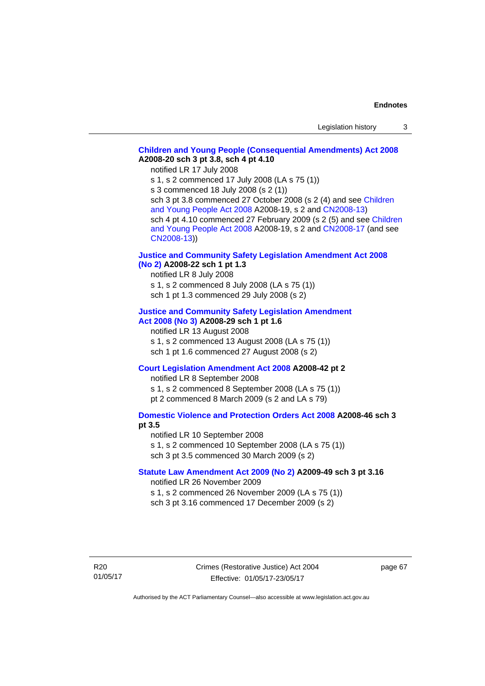# **[Children and Young People \(Consequential Amendments\) Act 2008](http://www.legislation.act.gov.au/a/2008-20) A2008-20 sch 3 pt 3.8, sch 4 pt 4.10**

notified LR 17 July 2008

s 1, s 2 commenced 17 July 2008 (LA s 75 (1))

s 3 commenced 18 July 2008 (s 2 (1))

sch 3 pt 3.8 commenced 27 October 2008 (s 2 (4) and see [Children](http://www.legislation.act.gov.au/a/2008-19)  [and Young People Act 2008](http://www.legislation.act.gov.au/a/2008-19) A2008-19, s 2 and [CN2008-13](http://www.legislation.act.gov.au/cn/2008-13/default.asp)) sch 4 pt 4.10 commenced 27 February 2009 (s 2 (5) and see [Children](http://www.legislation.act.gov.au/a/2008-19)  [and Young People Act 2008](http://www.legislation.act.gov.au/a/2008-19) A2008-19, s 2 and [CN2008-17 \(](http://www.legislation.act.gov.au/cn/2008-17/default.asp)and see [CN2008-13](http://www.legislation.act.gov.au/cn/2008-13/default.asp)))

## **[Justice and Community Safety Legislation Amendment Act 2008](http://www.legislation.act.gov.au/a/2008-22)  [\(No 2\)](http://www.legislation.act.gov.au/a/2008-22) A2008-22 sch 1 pt 1.3**

notified LR 8 July 2008 s 1, s 2 commenced 8 July 2008 (LA s 75 (1)) sch 1 pt 1.3 commenced 29 July 2008 (s 2)

### **[Justice and Community Safety Legislation Amendment](http://www.legislation.act.gov.au/a/2008-29)  [Act 2008 \(No 3\)](http://www.legislation.act.gov.au/a/2008-29) A2008-29 sch 1 pt 1.6**

notified LR 13 August 2008 s 1, s 2 commenced 13 August 2008 (LA s 75 (1)) sch 1 pt 1.6 commenced 27 August 2008 (s 2)

# **[Court Legislation Amendment Act 2008](http://www.legislation.act.gov.au/a/2008-42) A2008-42 pt 2**

notified LR 8 September 2008 s 1, s 2 commenced 8 September 2008 (LA s 75 (1)) pt 2 commenced 8 March 2009 (s 2 and LA s 79)

# **[Domestic Violence and Protection Orders Act 2008](http://www.legislation.act.gov.au/a/2008-46) A2008-46 sch 3 pt 3.5**

notified LR 10 September 2008 s 1, s 2 commenced 10 September 2008 (LA s 75 (1)) sch 3 pt 3.5 commenced 30 March 2009 (s 2)

# **[Statute Law Amendment Act 2009 \(No 2\)](http://www.legislation.act.gov.au/a/2009-49) A2009-49 sch 3 pt 3.16**  notified LR 26 November 2009

s 1, s 2 commenced 26 November 2009 (LA s 75 (1)) sch 3 pt 3.16 commenced 17 December 2009 (s 2)

R20 01/05/17 page 67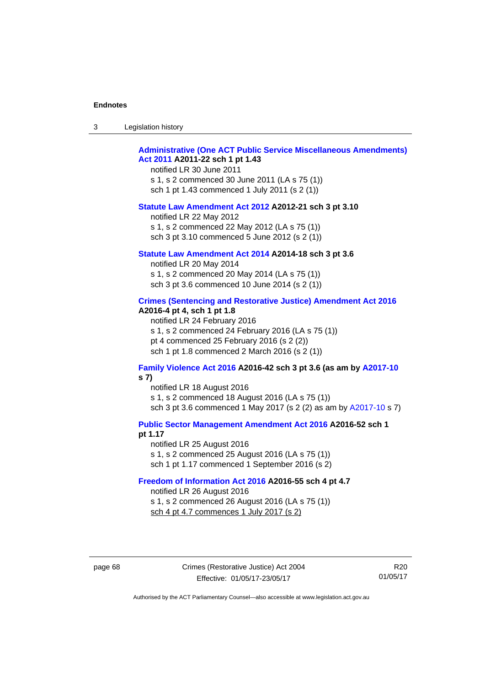| $\sqrt{2}$<br>- 3 | Legislation history |  |
|-------------------|---------------------|--|
|-------------------|---------------------|--|

# **[Administrative \(One ACT Public Service Miscellaneous Amendments\)](http://www.legislation.act.gov.au/a/2011-22)  [Act 2011](http://www.legislation.act.gov.au/a/2011-22) A2011-22 sch 1 pt 1.43**

notified LR 30 June 2011 s 1, s 2 commenced 30 June 2011 (LA s 75 (1)) sch 1 pt 1.43 commenced 1 July 2011 (s 2 (1))

#### **[Statute Law Amendment Act 2012](http://www.legislation.act.gov.au/a/2012-21) A2012-21 sch 3 pt 3.10**

notified LR 22 May 2012 s 1, s 2 commenced 22 May 2012 (LA s 75 (1)) sch 3 pt 3.10 commenced 5 June 2012 (s 2 (1))

### **[Statute Law Amendment Act 2014](http://www.legislation.act.gov.au/a/2014-18) A2014-18 sch 3 pt 3.6**

notified LR 20 May 2014 s 1, s 2 commenced 20 May 2014 (LA s 75 (1)) sch 3 pt 3.6 commenced 10 June 2014 (s 2 (1))

### **[Crimes \(Sentencing and Restorative Justice\) Amendment Act 2016](http://www.legislation.act.gov.au/a/2016-4/default.asp) A2016-4 pt 4, sch 1 pt 1.8**

notified LR 24 February 2016 s 1, s 2 commenced 24 February 2016 (LA s 75 (1)) pt 4 commenced 25 February 2016 (s 2 (2)) sch 1 pt 1.8 commenced 2 March 2016 (s 2 (1))

### **[Family Violence Act 2016](http://www.legislation.act.gov.au/a/2016-42/default.asp) A2016-42 sch 3 pt 3.6 (as am by [A2017-10](http://www.legislation.act.gov.au/a/2017-10/default.asp) s 7)**

notified LR 18 August 2016 s 1, s 2 commenced 18 August 2016 (LA s 75 (1)) sch 3 pt 3.6 commenced 1 May 2017 (s 2 (2) as am by [A2017-10](http://www.legislation.act.gov.au/a/2017-10/default.asp) s 7)

**[Public Sector Management Amendment Act 2016](http://www.legislation.act.gov.au/a/2016-52/default.asp) A2016-52 sch 1** 

### **pt 1.17**

notified LR 25 August 2016 s 1, s 2 commenced 25 August 2016 (LA s 75 (1)) sch 1 pt 1.17 commenced 1 September 2016 (s 2)

### **[Freedom of Information Act 2016](http://www.legislation.act.gov.au/a/2016-55/default.asp) A2016-55 sch 4 pt 4.7**

notified LR 26 August 2016 s 1, s 2 commenced 26 August 2016 (LA s 75 (1)) sch 4 pt 4.7 commences 1 July 2017 (s 2)

page 68 Crimes (Restorative Justice) Act 2004 Effective: 01/05/17-23/05/17

R20 01/05/17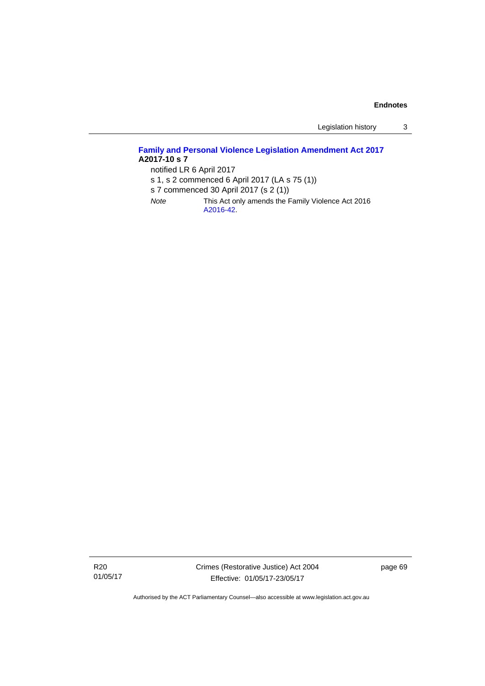Legislation history 3

# **[Family and Personal Violence Legislation Amendment Act 2017](http://www.legislation.act.gov.au/a/2017-10/default.asp) A2017-10 s 7**

notified LR 6 April 2017

- s 1, s 2 commenced 6 April 2017 (LA s 75 (1))
- s 7 commenced 30 April 2017 (s 2 (1))
- *Note* This Act only amends the Family Violence Act 2016 [A2016-42](http://www.legislation.act.gov.au/a/2016-42/default.asp).

R20 01/05/17 Crimes (Restorative Justice) Act 2004 Effective: 01/05/17-23/05/17

page 69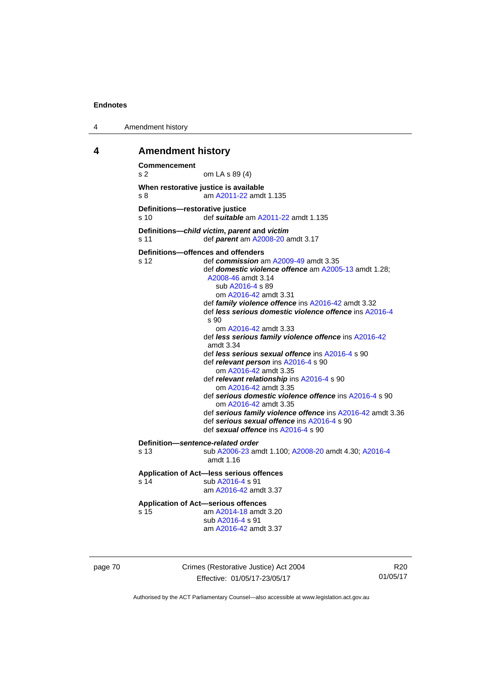4 Amendment history

# **4 Amendment history**

```
Commencement 
s 2 om LA s 89 (4) 
When restorative justice is available 
s 8 am A2011-22 amdt 1.135
Definitions—restorative justice 
s 10 def suitable am A2011-22 amdt 1.135 
Definitions—child victim, parent and victim
s 11 def parent am A2008-20 amdt 3.17 
Definitions—offences and offenders 
s 12 def commission am A2009-49 amdt 3.35 
                  def domestic violence offence am A2005-13 amdt 1.28; 
                  A2008-46 amdt 3.14 
                     sub A2016-4 s 89 
                     om A2016-42 amdt 3.31
                  def family violence offence ins A2016-42 amdt 3.32 
                  def less serious domestic violence offence ins A2016-4
                  s 90 
                     om A2016-42 amdt 3.33
                  def less serious family violence offence ins A2016-42
                  amdt 3.34
                  def less serious sexual offence ins A2016-4 s 90 
                  def relevant person ins A2016-4 s 90 
                     om A2016-42 amdt 3.35
                  def relevant relationship ins A2016-4 s 90 
                     om A2016-42 amdt 3.35
                  def serious domestic violence offence ins A2016-4 s 90 
                     om A2016-42 amdt 3.35
                  def serious family violence offence ins A2016-42 amdt 3.36 
                  def serious sexual offence ins A2016-4 s 90 
                  def sexual offence ins A2016-4 s 90 
Definition—sentence-related order 
s 13 sub A2006-23 amdt 1.100; A2008-20 amdt 4.30; A2016-4
                  amdt 1.16
Application of Act—less serious offences 
A2016-4 s 91
                  am A2016-42 amdt 3.37
Application of Act—serious offences 
s 15 am A2014-18 amdt 3.20
                  sub A2016-4 s 91 
                  am A2016-42 amdt 3.37
```
page 70 Crimes (Restorative Justice) Act 2004 Effective: 01/05/17-23/05/17

R20 01/05/17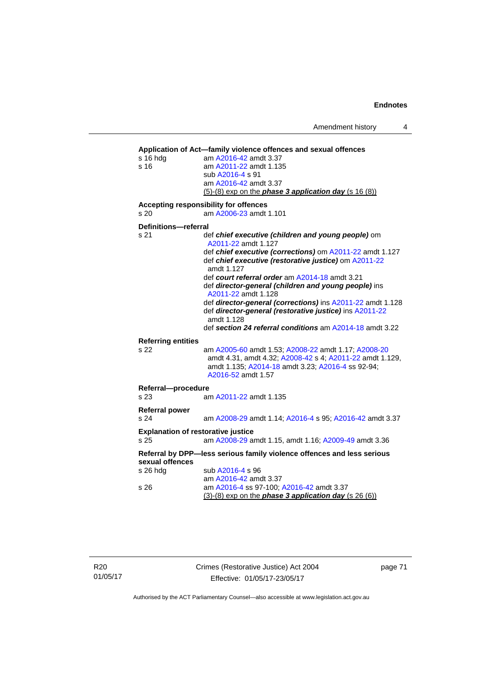Amendment history 4

```
Application of Act—family violence offences and sexual offences 
s 16 hdg am A2016-42 amdt 3.37
s 16 am A2011-22 amdt 1.135
                  sub A2016-4 s 91 
                  am A2016-42 amdt 3.37
                 (5)-(8) exp on the phase 3 application day (s 16 (8))
Accepting responsibility for offences 
s 20 am A2006-23 amdt 1.101
Definitions—referral 
s 21 def chief executive (children and young people) om 
                  A2011-22 amdt 1.127 
                  def chief executive (corrections) om A2011-22 amdt 1.127 
                  def chief executive (restorative justice) om A2011-22
                  amdt 1.127
                  def court referral order am A2014-18 amdt 3.21 
                  def director-general (children and young people) ins 
                  A2011-22 amdt 1.128 
                  def director-general (corrections) ins A2011-22 amdt 1.128 
                  def director-general (restorative justice) ins A2011-22
                  amdt 1.128
                  def section 24 referral conditions am A2014-18 amdt 3.22 
Referring entities 
s 22 am A2005-60 amdt 1.53; A2008-22 amdt 1.17; A2008-20
                  amdt 4.31, amdt 4.32; A2008-42 s 4; A2011-22 amdt 1.129, 
                  amdt 1.135; A2014-18 amdt 3.23; A2016-4 ss 92-94; 
                  A2016-52 amdt 1.57 
Referral—procedure 
s 23 am A2011-22 amdt 1.135
Referral power 
s 24 am A2008-29 amdt 1.14; A2016-4 s 95; A2016-42 amdt 3.37 
Explanation of restorative justice 
s 25 am A2008-29 amdt 1.15, amdt 1.16; A2009-49 amdt 3.36 
Referral by DPP—less serious family violence offences and less serious 
sexual offences 
A2016-4 s 96
A2016-42 amdt 3.37<br>s 26 am A2016-4 ss 97-100:
                  A2016-4  A2016-42 amdt 3.37
                 (3)-(8) exp on the phase 3 application day (s 26 (6))
```
page 71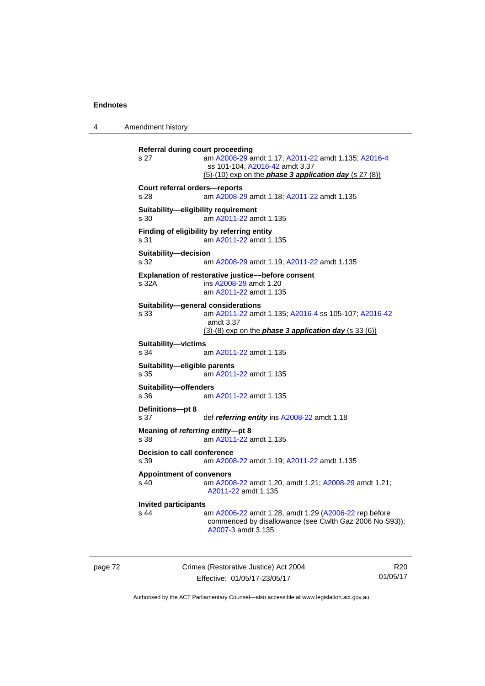4 Amendment history

**Referral during court proceeding**  s 27 am [A2008-29](http://www.legislation.act.gov.au/a/2008-29) amdt 1.17; [A2011-22](http://www.legislation.act.gov.au/a/2011-22) amdt 1.135; [A2016-4](http://www.legislation.act.gov.au/a/2016-4/default.asp) ss 101-104; [A2016-42](http://www.legislation.act.gov.au/a/2016-42/default.asp) amdt 3.37 (5)-(10) exp on the *phase 3 application day* (s 27 (8)) **Court referral orders—reports**  s 28 am [A2008-29](http://www.legislation.act.gov.au/a/2008-29) amdt 1.18; [A2011-22](http://www.legislation.act.gov.au/a/2011-22) amdt 1.135 **Suitability—eligibility requirement**  s 30 am [A2011-22](http://www.legislation.act.gov.au/a/2011-22) amdt 1.135 **Finding of eligibility by referring entity**  s 31 am [A2011-22](http://www.legislation.act.gov.au/a/2011-22) amdt 1.135 **Suitability—decision**  s 32 am [A2008-29](http://www.legislation.act.gov.au/a/2008-29) amdt 1.19; [A2011-22](http://www.legislation.act.gov.au/a/2011-22) amdt 1.135 **Explanation of restorative justice––before consent**  s 32A ins [A2008-29](http://www.legislation.act.gov.au/a/2008-29) amdt 1.20 am [A2011-22](http://www.legislation.act.gov.au/a/2011-22) amdt 1.135 **Suitability—general considerations**  s 33 am [A2011-22](http://www.legislation.act.gov.au/a/2011-22) amdt 1.135; [A2016-4](http://www.legislation.act.gov.au/a/2016-4/default.asp) ss 105-107; [A2016-42](http://www.legislation.act.gov.au/a/2016-42/default.asp) amdt 3.37 (3)-(8) exp on the *phase 3 application day* (s 33 (6)) **Suitability—victims**<br>s 34 a am [A2011-22](http://www.legislation.act.gov.au/a/2011-22) amdt 1.135 **Suitability—eligible parents**  s 35 am [A2011-22](http://www.legislation.act.gov.au/a/2011-22) amdt 1.135 **Suitability—offenders**  am [A2011-22](http://www.legislation.act.gov.au/a/2011-22) amdt 1.135 **Definitions—pt 8**  s 37 def *referring entity* ins [A2008-22](http://www.legislation.act.gov.au/a/2008-22) amdt 1.18 **Meaning of** *referring entity***—pt 8**  s 38 am [A2011-22](http://www.legislation.act.gov.au/a/2011-22) amdt 1.135 **Decision to call conference**  s 39 am [A2008-22](http://www.legislation.act.gov.au/a/2008-22) amdt 1.19; [A2011-22](http://www.legislation.act.gov.au/a/2011-22) amdt 1.135 **Appointment of convenors**  s 40 am [A2008-22](http://www.legislation.act.gov.au/a/2008-22) amdt 1.20, amdt 1.21; [A2008-29](http://www.legislation.act.gov.au/a/2008-29) amdt 1.21; [A2011-22](http://www.legislation.act.gov.au/a/2011-22) amdt 1.135 **Invited participants**  am [A2006-22](http://www.legislation.act.gov.au/a/2006-22) amdt 1.28, amdt 1.29 [\(A2006-22](http://www.legislation.act.gov.au/a/2006-22) rep before commenced by disallowance (see Cwlth Gaz 2006 No S93)); [A2007-3](http://www.legislation.act.gov.au/a/2007-3) amdt 3.135

page 72 Crimes (Restorative Justice) Act 2004 Effective: 01/05/17-23/05/17

R20 01/05/17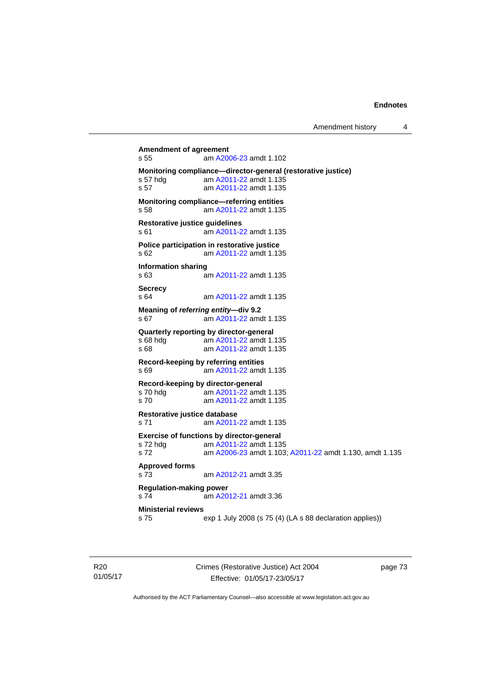**Amendment of agreement**  s 55 am [A2006-23](http://www.legislation.act.gov.au/a/2006-23) amdt 1.102 **Monitoring compliance—director-general (restorative justice)**  s 57 hdg am [A2011-22](http://www.legislation.act.gov.au/a/2011-22) amdt 1.135 s 57 am [A2011-22](http://www.legislation.act.gov.au/a/2011-22) amdt 1.135 **Monitoring compliance—referring entities**  s 58 am [A2011-22](http://www.legislation.act.gov.au/a/2011-22) amdt 1.135 **Restorative justice guidelines**  s 61 am [A2011-22](http://www.legislation.act.gov.au/a/2011-22) amdt 1.135 **Police participation in restorative justice**  s 62 am [A2011-22](http://www.legislation.act.gov.au/a/2011-22) amdt 1.135 **Information sharing**  s 63 am [A2011-22](http://www.legislation.act.gov.au/a/2011-22) amdt 1.135 **Secrecy**  s 64 am [A2011-22](http://www.legislation.act.gov.au/a/2011-22) amdt 1.135 **Meaning of** *referring entity—***div 9.2**  s 67 am [A2011-22](http://www.legislation.act.gov.au/a/2011-22) amdt 1.135 **Quarterly reporting by director-general**  s 68 hdg am [A2011-22](http://www.legislation.act.gov.au/a/2011-22) amdt 1.135 s 68 **am [A2011-22](http://www.legislation.act.gov.au/a/2011-22) amdt 1.135 Record-keeping by referring entities**  s 69 am [A2011-22](http://www.legislation.act.gov.au/a/2011-22) amdt 1.135 **Record-keeping by director-general**  s 70 hdg am [A2011-22](http://www.legislation.act.gov.au/a/2011-22) amdt 1.135 s 70 am [A2011-22](http://www.legislation.act.gov.au/a/2011-22) amdt 1.135 **Restorative justice database**  s 71 am [A2011-22](http://www.legislation.act.gov.au/a/2011-22) amdt 1.135 **Exercise of functions by director-general**  s 72 hdg am [A2011-22](http://www.legislation.act.gov.au/a/2011-22) amdt 1.135 s 72 am [A2006-23](http://www.legislation.act.gov.au/a/2006-23) amdt 1.103; [A2011-22](http://www.legislation.act.gov.au/a/2011-22) amdt 1.130, amdt 1.135 **Approved forms**  s 73 am [A2012-21](http://www.legislation.act.gov.au/a/2012-21) amdt 3.35 **Regulation-making power**  s 74 am [A2012-21](http://www.legislation.act.gov.au/a/2012-21) amdt 3.36 **Ministerial reviews**  s 75 exp 1 July 2008 (s 75 (4) (LA s 88 declaration applies))

R20 01/05/17 Crimes (Restorative Justice) Act 2004 Effective: 01/05/17-23/05/17

page 73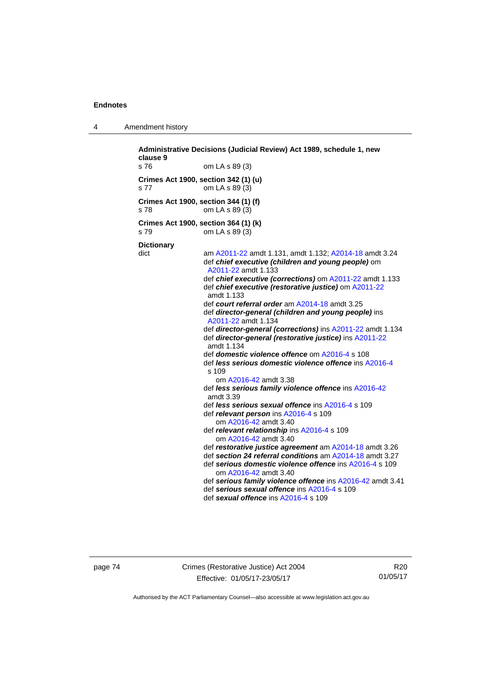4 Amendment history

**Administrative Decisions (Judicial Review) Act 1989, schedule 1, new clause 9**  s 76 om LA s 89 (3) **Crimes Act 1900, section 342 (1) (u)**  s 77 om LA s 89 (3) **Crimes Act 1900, section 344 (1) (f)**  s 78 om LA s 89 (3) **Crimes Act 1900, section 364 (1) (k)**  s 79 om LA s 89 (3) **Dictionary**  dict am [A2011-22](http://www.legislation.act.gov.au/a/2011-22) amdt 1.131, amdt 1.132; [A2014-18](http://www.legislation.act.gov.au/a/2014-18) amdt 3.24 def *chief executive (children and young people)* om [A2011-22](http://www.legislation.act.gov.au/a/2011-22) amdt 1.133 def *chief executive (corrections)* om [A2011-22](http://www.legislation.act.gov.au/a/2011-22) amdt 1.133 def *chief executive (restorative justice)* om [A2011-22](http://www.legislation.act.gov.au/a/2011-22) amdt 1.133 def *court referral order* am [A2014-18](http://www.legislation.act.gov.au/a/2014-18) amdt 3.25 def *director-general (children and young people)* ins [A2011-22](http://www.legislation.act.gov.au/a/2011-22) amdt 1.134 def *director-general (corrections)* ins [A2011-22](http://www.legislation.act.gov.au/a/2011-22) amdt 1.134 def *director-general (restorative justice)* ins [A2011-22](http://www.legislation.act.gov.au/a/2011-22) amdt 1.134 def *domestic violence offence* om [A2016-4](http://www.legislation.act.gov.au/a/2016-4/default.asp) s 108 def *less serious domestic violence offence* ins [A2016-4](http://www.legislation.act.gov.au/a/2016-4/default.asp)  $s$  109 om [A2016-42](http://www.legislation.act.gov.au/a/2016-42/default.asp) amdt 3.38 def *less serious family violence offence* ins [A2016-42](http://www.legislation.act.gov.au/a/2016-42/default.asp) amdt 3.39 def *less serious sexual offence* ins [A2016-4](http://www.legislation.act.gov.au/a/2016-4/default.asp) s 109 def *relevant person* ins [A2016-4](http://www.legislation.act.gov.au/a/2016-4/default.asp) s 109 om [A2016-42](http://www.legislation.act.gov.au/a/2016-42/default.asp) amdt 3.40 def *relevant relationship* ins [A2016-4](http://www.legislation.act.gov.au/a/2016-4/default.asp) s 109 om [A2016-42](http://www.legislation.act.gov.au/a/2016-42/default.asp) amdt 3.40 def *restorative justice agreement* am [A2014-18](http://www.legislation.act.gov.au/a/2014-18) amdt 3.26 def *section 24 referral conditions* am [A2014-18](http://www.legislation.act.gov.au/a/2014-18) amdt 3.27 def *serious domestic violence offence* ins [A2016-4](http://www.legislation.act.gov.au/a/2016-4/default.asp) s 109 om [A2016-42](http://www.legislation.act.gov.au/a/2016-42/default.asp) amdt 3.40 def *serious family violence offence* ins [A2016-42](http://www.legislation.act.gov.au/a/2016-42/default.asp) amdt 3.41 def *serious sexual offence* ins [A2016-4](http://www.legislation.act.gov.au/a/2016-4/default.asp) s 109 def *sexual offence* ins [A2016-4](http://www.legislation.act.gov.au/a/2016-4/default.asp) s 109

page 74 Crimes (Restorative Justice) Act 2004 Effective: 01/05/17-23/05/17

R20 01/05/17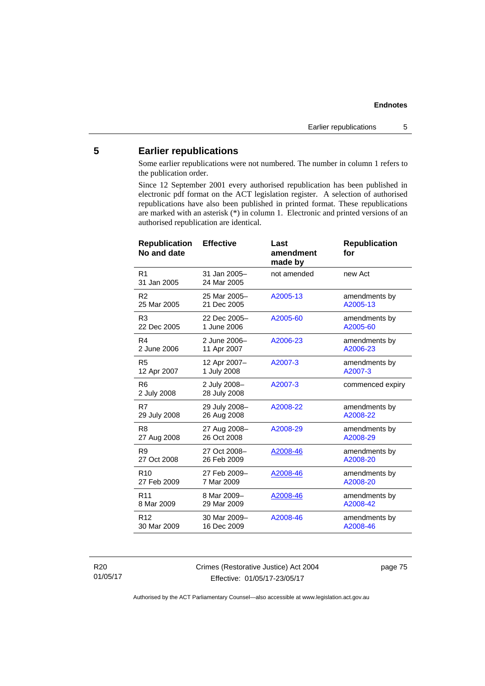# **5 Earlier republications**

Some earlier republications were not numbered. The number in column 1 refers to the publication order.

Since 12 September 2001 every authorised republication has been published in electronic pdf format on the ACT legislation register. A selection of authorised republications have also been published in printed format. These republications are marked with an asterisk (\*) in column 1. Electronic and printed versions of an authorised republication are identical.

| <b>Republication</b><br>No and date | <b>Effective</b>             | Last<br>amendment<br>made by | <b>Republication</b><br>for |
|-------------------------------------|------------------------------|------------------------------|-----------------------------|
| R <sub>1</sub><br>31 Jan 2005       | 31 Jan 2005-<br>24 Mar 2005  | not amended                  | new Act                     |
| R <sub>2</sub>                      | 25 Mar 2005-                 | A2005-13                     | amendments by               |
| 25 Mar 2005                         | 21 Dec 2005                  |                              | A2005-13                    |
| R <sub>3</sub>                      | 22 Dec 2005-                 | A2005-60                     | amendments by               |
| 22 Dec 2005                         | 1 June 2006                  |                              | A2005-60                    |
| R <sub>4</sub>                      | 2 June 2006-                 | A2006-23                     | amendments by               |
| 2 June 2006                         | 11 Apr 2007                  |                              | A2006-23                    |
| R <sub>5</sub>                      | 12 Apr 2007-                 | A2007-3                      | amendments by               |
| 12 Apr 2007                         | 1 July 2008                  |                              | A2007-3                     |
| R <sub>6</sub><br>2 July 2008       | 2 July 2008-<br>28 July 2008 | A2007-3                      | commenced expiry            |
| R7                                  | 29 July 2008-                | A2008-22                     | amendments by               |
| 29 July 2008                        | 26 Aug 2008                  |                              | A2008-22                    |
| R <sub>8</sub>                      | 27 Aug 2008-                 | A2008-29                     | amendments by               |
| 27 Aug 2008                         | 26 Oct 2008                  |                              | A2008-29                    |
| R <sub>9</sub>                      | 27 Oct 2008-                 | A2008-46                     | amendments by               |
| 27 Oct 2008                         | 26 Feb 2009                  |                              | A2008-20                    |
| R <sub>10</sub>                     | 27 Feb 2009-                 | A2008-46                     | amendments by               |
| 27 Feb 2009                         | 7 Mar 2009                   |                              | A2008-20                    |
| R <sub>11</sub>                     | 8 Mar 2009-                  | A2008-46                     | amendments by               |
| 8 Mar 2009                          | 29 Mar 2009                  |                              | A2008-42                    |
| R <sub>12</sub>                     | 30 Mar 2009-                 | A2008-46                     | amendments by               |
| 30 Mar 2009                         | 16 Dec 2009                  |                              | A2008-46                    |
|                                     |                              |                              |                             |

R20 01/05/17 Crimes (Restorative Justice) Act 2004 Effective: 01/05/17-23/05/17

page 75